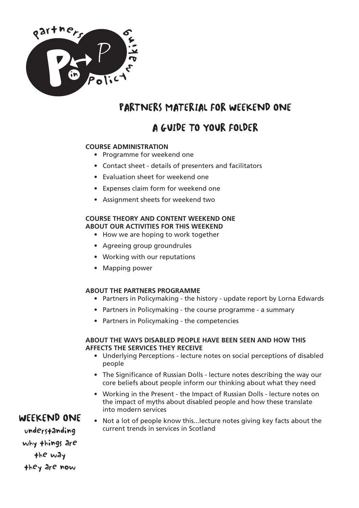

# PARTNERS MATERIAL FOR WEEKEND ONE

# A GUIDE TO YOUR FOLDER

### **COURSE ADMINISTRATION**

- Programme for weekend one
- Contact sheet details of presenters and facilitators
- Evaluation sheet for weekend one
- Expenses claim form for weekend one
- Assignment sheets for weekend two

### **COURSE THEORY AND CONTENT WEEKEND ONE ABOUT OUR ACTIVITIES FOR THIS WEEKEND**

- How we are hoping to work together
- Agreeing group groundrules
- Working with our reputations
- Mapping power

### **ABOUT THE PARTNERS PROGRAMME**

- Partners in Policymaking the history update report by Lorna Edwards
- Partners in Policymaking the course programme a summary
- Partners in Policymaking the competencies

### **ABOUT THE WAYS DISABLED PEOPLE HAVE BEEN SEEN AND HOW THIS AFFECTS THE SERVICES THEY RECEIVE**

- Underlying Perceptions lecture notes on social perceptions of disabled people
- The Significance of Russian Dolls lecture notes describing the way our core beliefs about people inform our thinking about what they need
- Working in the Present the Impact of Russian Dolls lecture notes on the impact of myths about disabled people and how these translate into modern services
- Not a lot of people know this...lecture notes giving key facts about the current trends in services in Scotland

### WEEKEND ONE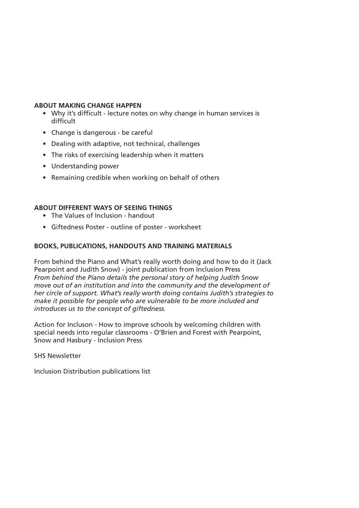#### **ABOUT MAKING CHANGE HAPPEN**

- Why it's difficult lecture notes on why change in human services is difficult
- Change is dangerous be careful
- Dealing with adaptive, not technical, challenges
- The risks of exercising leadership when it matters
- Understanding power
- Remaining credible when working on behalf of others

### **ABOUT DIFFERENT WAYS OF SEEING THINGS**

- The Values of Inclusion handout
- Giftedness Poster outline of poster worksheet

### **BOOKS, PUBLICATIONS, HANDOUTS AND TRAINING MATERIALS**

From behind the Piano and What's really worth doing and how to do it (Jack Pearpoint and Judith Snow) - joint publication from Inclusion Press *From behind the Piano details the personal story of helping Judith Snow move out of an institution and into the community and the development of her circle of support. What's really worth doing contains Judith's strategies to make it possible for people who are vulnerable to be more included and introduces us to the concept of giftedness.*

Action for Incluson - How to improve schools by welcoming children with special needs into regular classrooms - O'Brien and Forest with Pearpoint, Snow and Hasbury - Inclusion Press

SHS Newsletter

Inclusion Distribution publications list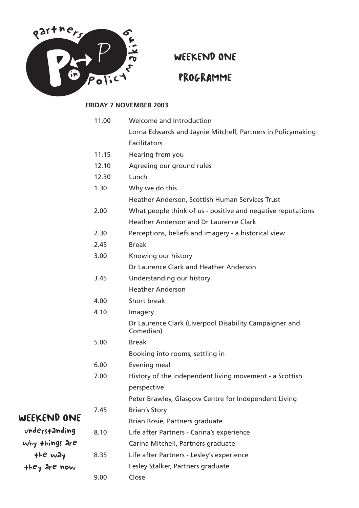

WEEKEND ONE

# PROGRAMME

### **FRIDAY 7 NOVEMBER 2003**

|                | 11.00 | Welcome and Introduction                                            |
|----------------|-------|---------------------------------------------------------------------|
|                |       | Lorna Edwards and Jaynie Mitchell, Partners in Policymaking         |
|                |       | <b>Facilitators</b>                                                 |
|                | 11.15 | Hearing from you                                                    |
|                | 12.10 | Agreeing our ground rules                                           |
|                | 12.30 | Lunch                                                               |
|                | 1.30  | Why we do this                                                      |
|                |       | Heather Anderson, Scottish Human Services Trust                     |
|                | 2.00  | What people think of us - positive and negative reputations         |
|                |       | Heather Anderson and Dr Laurence Clark                              |
|                | 2.30  | Perceptions, beliefs and imagery - a historical view                |
|                | 2.45  | <b>Break</b>                                                        |
|                | 3.00  | Knowing our history                                                 |
|                |       | Dr Laurence Clark and Heather Anderson                              |
|                | 3.45  | Understanding our history                                           |
|                |       | <b>Heather Anderson</b>                                             |
|                | 4.00  | Short break                                                         |
|                | 4.10  | Imagery                                                             |
|                |       | Dr Laurence Clark (Liverpool Disability Campaigner and<br>Comedian) |
|                | 5.00  | <b>Break</b>                                                        |
|                |       | Booking into rooms, settling in                                     |
|                | 6.00  | Evening meal                                                        |
|                | 7.00  | History of the independent living movement - a Scottish             |
|                |       | perspective                                                         |
|                |       | Peter Brawley, Glasgow Centre for Independent Living                |
|                | 7.45  | <b>Brian's Story</b>                                                |
| WEEKEND ONE    |       | Brian Rosie, Partners graduate                                      |
| understanding  | 8.10  | Life after Partners - Carina's experience                           |
| why things are |       | Carina Mitchell, Partners graduate                                  |
| the way        | 8.35  | Life after Partners - Lesley's experience                           |
| they are now   |       | Lesley Stalker, Partners graduate                                   |
|                | 9.00  | Close                                                               |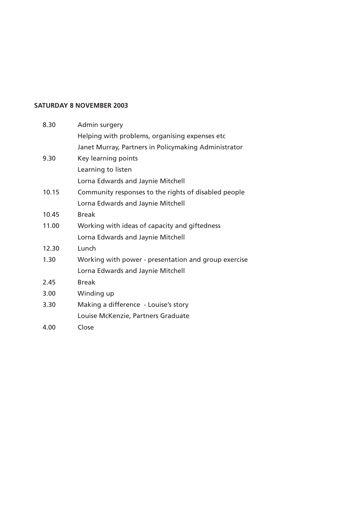#### **SATURDAY 8 NOVEMBER 2003**

| 8.30  | Admin surgery                                        |
|-------|------------------------------------------------------|
|       | Helping with problems, organising expenses etc       |
|       | Janet Murray, Partners in Policymaking Administrator |
| 9.30  | Key learning points                                  |
|       | Learning to listen                                   |
|       | Lorna Edwards and Jaynie Mitchell                    |
| 10.15 | Community responses to the rights of disabled people |
|       | Lorna Edwards and Jaynie Mitchell                    |
| 10.45 | <b>Break</b>                                         |
| 11.00 | Working with ideas of capacity and giftedness        |
|       | Lorna Edwards and Jaynie Mitchell                    |
| 12.30 | Lunch                                                |
| 1.30  | Working with power - presentation and group exercise |
|       | Lorna Edwards and Jaynie Mitchell                    |
| 2.45  | <b>Break</b>                                         |
| 3.00  | Winding up                                           |
| 3.30  | Making a difference - Louise's story                 |
|       | Louise McKenzie, Partners Graduate                   |
| 4.00  | Close                                                |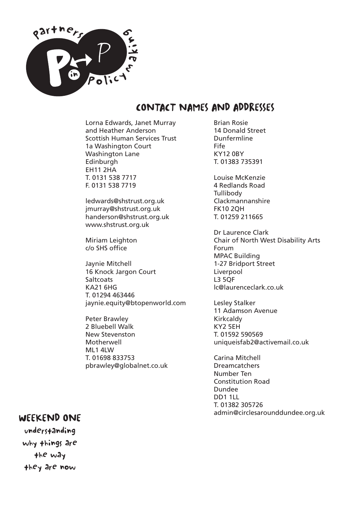

### CONTACT NAMES AND ADDRESSES

Lorna Edwards, Janet Murray and Heather Anderson Scottish Human Services Trust 1a Washington Court Washington Lane Edinburgh EH11 2HA T. 0131 538 7717 F. 0131 538 7719

ledwards@shstrust.org.uk jmurray@shstrust.org.uk handerson@shstrust.org.uk www.shstrust.org.uk

Miriam Leighton c/o SHS office

Jaynie Mitchell 16 Knock Jargon Court **Saltcoats** KA21 6HG T. 01294 463446 jaynie.equity@btopenworld.com

Peter Brawley 2 Bluebell Walk New Stevenston Motherwell ML1 4LW T. 01698 833753 pbrawley@globalnet.co.uk Brian Rosie 14 Donald Street Dunfermline Fife KY12 0BY T. 01383 735391

Louise McKenzie 4 Redlands Road **Tullibody** Clackmannanshire FK10 2QH T. 01259 211665

Dr Laurence Clark Chair of North West Disability Arts Forum MPAC Building 1-27 Bridport Street Liverpool L3 5QF lc@laurenceclark.co.uk

Lesley Stalker 11 Adamson Avenue Kirkcaldy KY2 5EH T. 01592 590569 uniqueisfab2@activemail.co.uk

Carina Mitchell Dreamcatchers Number Ten Constitution Road Dundee DD1 1LL T. 01382 305726 admin@circlesarounddundee.org.uk

### WEEKEND ONE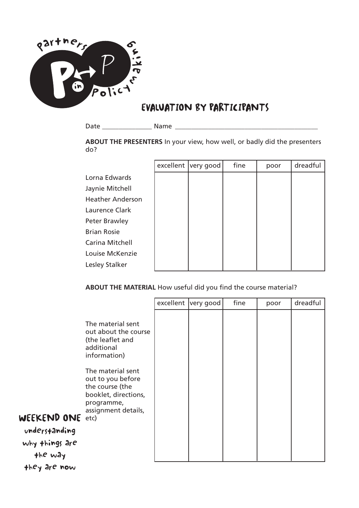

# EVALUATION BY PARTICIPANTS

Date \_\_\_\_\_\_\_\_\_\_\_\_\_\_\_ Name \_\_\_\_\_\_\_\_\_\_\_\_\_\_\_\_\_\_\_\_\_\_\_\_\_\_\_\_\_\_\_\_\_\_\_\_\_\_\_\_\_\_\_

### **ABOUT THE PRESENTERS** In your view, how well, or badly did the presenters do?

|                         | excellent very good | fine | poor | dreadful |
|-------------------------|---------------------|------|------|----------|
| Lorna Edwards           |                     |      |      |          |
| Jaynie Mitchell         |                     |      |      |          |
| <b>Heather Anderson</b> |                     |      |      |          |
| Laurence Clark          |                     |      |      |          |
| Peter Brawley           |                     |      |      |          |
| <b>Brian Rosie</b>      |                     |      |      |          |
| Carina Mitchell         |                     |      |      |          |
| Louise McKenzie         |                     |      |      |          |
| Lesley Stalker          |                     |      |      |          |

### **ABOUT THE MATERIAL** How useful did you find the course material?

|                                                                                                                                                                                                                                                                                                | excellent very good | fine | poor | dreadful |
|------------------------------------------------------------------------------------------------------------------------------------------------------------------------------------------------------------------------------------------------------------------------------------------------|---------------------|------|------|----------|
| The material sent<br>out about the course<br>(the leaflet and<br>additional<br>information)<br>The material sent<br>out to you before<br>the course (the<br>booklet, directions,<br>programme,<br>assignment details,<br><b>WEEKEND ONE</b> etc)<br>understanding<br>why things are<br>the way |                     |      |      |          |

they are now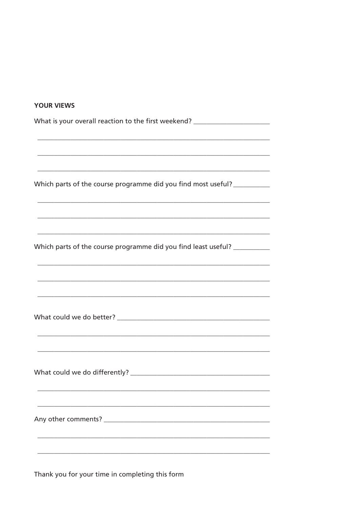| <b>YOUR VIEWS</b>                                                                                                            |
|------------------------------------------------------------------------------------------------------------------------------|
| What is your overall reaction to the first weekend? ____________________________                                             |
|                                                                                                                              |
| Which parts of the course programme did you find most useful?<br><u> 1989 - Johann Stoff, amerikansk politiker (d. 1989)</u> |
| <u> 1989 - Johann Stoff, deutscher Stoff, der Stoff, der Stoff, der Stoff, der Stoff, der Stoff, der Stoff, der S</u>        |
| Which parts of the course programme did you find least useful?                                                               |
| <u> 1989 - Johann Harry Harry Harry Harry Harry Harry Harry Harry Harry Harry Harry Harry Harry Harry Harry Harry</u>        |
|                                                                                                                              |
|                                                                                                                              |
|                                                                                                                              |
|                                                                                                                              |

Thank you for your time in completing this form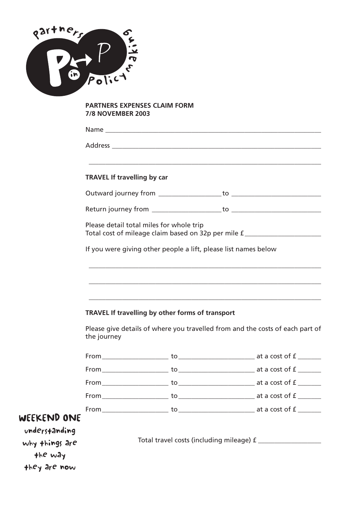

### **PARTNERS EXPENSES CLAIM FORM 7/8 NOVEMBER 2003**

|                           | <b>TRAVEL If travelling by car</b> |                                          |                                                                 |                                                                                                               |
|---------------------------|------------------------------------|------------------------------------------|-----------------------------------------------------------------|---------------------------------------------------------------------------------------------------------------|
|                           |                                    |                                          |                                                                 |                                                                                                               |
|                           |                                    |                                          |                                                                 |                                                                                                               |
|                           |                                    | Please detail total miles for whole trip |                                                                 | Total cost of mileage claim based on 32p per mile f ____________________________                              |
|                           |                                    |                                          | If you were giving other people a lift, please list names below |                                                                                                               |
|                           |                                    |                                          |                                                                 |                                                                                                               |
|                           |                                    |                                          |                                                                 | a se provincia de la construcción de la construcción de la construcción de la construcción de la construcción |
|                           |                                    |                                          |                                                                 |                                                                                                               |
|                           |                                    |                                          | TRAVEL If travelling by other forms of transport                |                                                                                                               |
|                           | the journey                        |                                          |                                                                 | Please give details of where you travelled from and the costs of each part of                                 |
|                           |                                    |                                          |                                                                 |                                                                                                               |
|                           |                                    |                                          |                                                                 |                                                                                                               |
|                           |                                    |                                          |                                                                 |                                                                                                               |
|                           | From                               |                                          |                                                                 |                                                                                                               |
|                           |                                    |                                          |                                                                 |                                                                                                               |
| WEEKEND ONE               |                                    |                                          |                                                                 |                                                                                                               |
| understanding             |                                    |                                          |                                                                 |                                                                                                               |
| why things are<br>the way |                                    |                                          |                                                                 |                                                                                                               |
| they are now              |                                    |                                          |                                                                 |                                                                                                               |
|                           |                                    |                                          |                                                                 |                                                                                                               |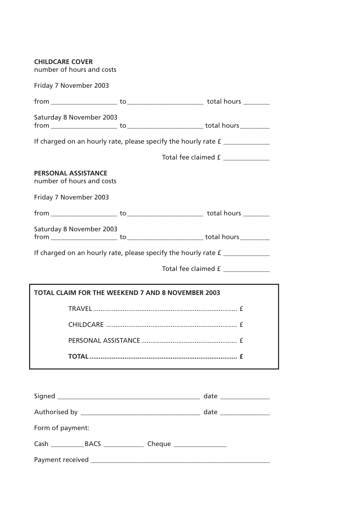| <b>CHILDCARE COVER</b><br>number of hours and costs      |                                                                                   |
|----------------------------------------------------------|-----------------------------------------------------------------------------------|
| Friday 7 November 2003                                   |                                                                                   |
|                                                          |                                                                                   |
| Saturday 8 November 2003                                 |                                                                                   |
|                                                          | If charged on an hourly rate, please specify the hourly rate £                    |
|                                                          | Total fee claimed £                                                               |
| <b>PERSONAL ASSISTANCE</b><br>number of hours and costs  |                                                                                   |
| Friday 7 November 2003                                   |                                                                                   |
|                                                          |                                                                                   |
| Saturday 8 November 2003                                 |                                                                                   |
|                                                          | If charged on an hourly rate, please specify the hourly rate $f$ ________________ |
|                                                          | Total fee claimed £                                                               |
| <b>TOTAL CLAIM FOR THE WEEKEND 7 AND 8 NOVEMBER 2003</b> |                                                                                   |
|                                                          |                                                                                   |
| CHILDCARE                                                | f                                                                                 |
|                                                          |                                                                                   |
|                                                          |                                                                                   |
|                                                          |                                                                                   |
|                                                          |                                                                                   |
|                                                          |                                                                                   |
|                                                          |                                                                                   |
| Form of payment:                                         |                                                                                   |

Payment received \_\_\_\_\_\_\_\_\_\_\_\_\_\_\_\_\_\_\_\_\_\_\_\_\_\_\_\_\_\_\_\_\_\_\_\_\_\_\_\_\_\_\_\_\_\_\_\_\_\_\_\_\_\_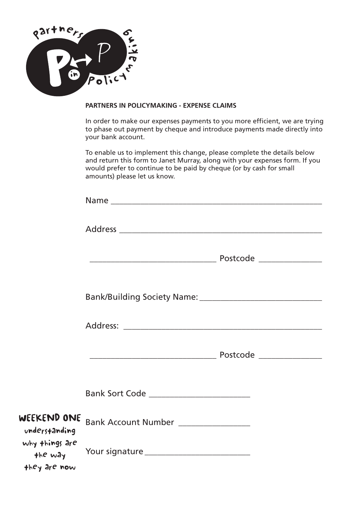

### **PARTNERS IN POLICYMAKING - EXPENSE CLAIMS**

In order to make our expenses payments to you more efficient, we are trying to phase out payment by cheque and introduce payments made directly into your bank account.

To enable us to implement this change, please complete the details below and return this form to Janet Murray, along with your expenses form. If you would prefer to continue to be paid by cheque (or by cash for small amounts) please let us know.

| WEEKEND ONE<br>understanding              | Bank Account Number ________________ |  |
|-------------------------------------------|--------------------------------------|--|
| why things are<br>the way<br>they are now |                                      |  |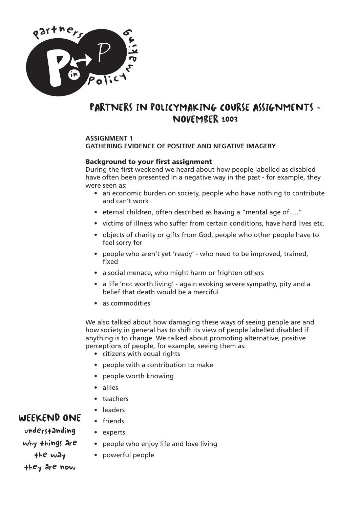

### PARTNERS IN POLICYMAKING COURSE ASSIGNMENTS - NOVEMBER 2003

### **ASSIGNMENT 1**

### **GATHERING EVIDENCE OF POSITIVE AND NEGATIVE IMAGERY**

### **Background to your first assignment**

During the first weekend we heard about how people labelled as disabled have often been presented in a negative way in the past - for example, they were seen as:

- an economic burden on society, people who have nothing to contribute and can't work
- eternal children, often described as having a "mental age of....."
- victims of illness who suffer from certain conditions, have hard lives etc.
- objects of charity or gifts from God, people who other people have to feel sorry for
- people who aren't yet 'ready' who need to be improved, trained, fixed
- a social menace, who might harm or frighten others
- a life 'not worth living' again evoking severe sympathy, pity and a belief that death would be a merciful
- as commodities

We also talked about how damaging these ways of seeing people are and how society in general has to shift its view of people labelled disabled if anything is to change. We talked about promoting alternative, positive perceptions of people, for example, seeing them as:

- citizens with equal rights
- people with a contribution to make
- people worth knowing
- allies
- teachers
- leaders • friends

• experts

### WEEKEND ONE

- understanding why things are the way they are now
- people who enjoy life and love living
- powerful people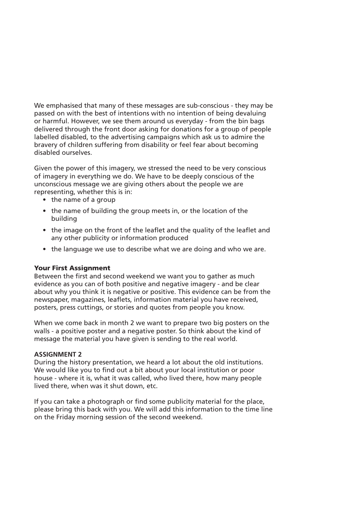We emphasised that many of these messages are sub-conscious - they may be passed on with the best of intentions with no intention of being devaluing or harmful. However, we see them around us everyday - from the bin bags delivered through the front door asking for donations for a group of people labelled disabled, to the advertising campaigns which ask us to admire the bravery of children suffering from disability or feel fear about becoming disabled ourselves.

Given the power of this imagery, we stressed the need to be very conscious of imagery in everything we do. We have to be deeply conscious of the unconscious message we are giving others about the people we are representing, whether this is in:

- the name of a group
- the name of building the group meets in, or the location of the building
- the image on the front of the leaflet and the quality of the leaflet and any other publicity or information produced
- the language we use to describe what we are doing and who we are.

### **Your First Assignment**

Between the first and second weekend we want you to gather as much evidence as you can of both positive and negative imagery - and be clear about why you think it is negative or positive. This evidence can be from the newspaper, magazines, leaflets, information material you have received, posters, press cuttings, or stories and quotes from people you know.

When we come back in month 2 we want to prepare two big posters on the walls - a positive poster and a negative poster. So think about the kind of message the material you have given is sending to the real world.

#### **ASSIGNMENT 2**

During the history presentation, we heard a lot about the old institutions. We would like you to find out a bit about your local institution or poor house - where it is, what it was called, who lived there, how many people lived there, when was it shut down, etc.

If you can take a photograph or find some publicity material for the place, please bring this back with you. We will add this information to the time line on the Friday morning session of the second weekend.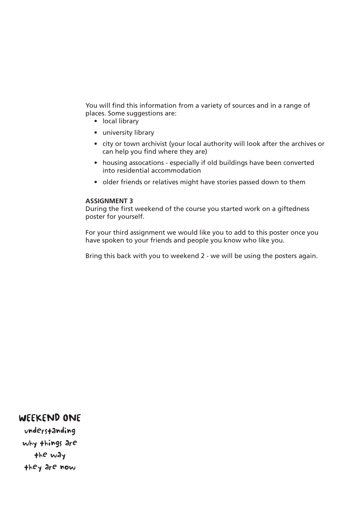You will find this information from a variety of sources and in a range of places. Some suggestions are:

- local library
- university library
- city or town archivist (your local authority will look after the archives or can help you find where they are)
- housing assocations especially if old buildings have been converted into residential accommodation
- older friends or relatives might have stories passed down to them

#### **ASSIGNMENT 3**

During the first weekend of the course you started work on a giftedness poster for yourself.

For your third assignment we would like you to add to this poster once you have spoken to your friends and people you know who like you.

Bring this back with you to weekend 2 - we will be using the posters again.

### WEEKEND ONE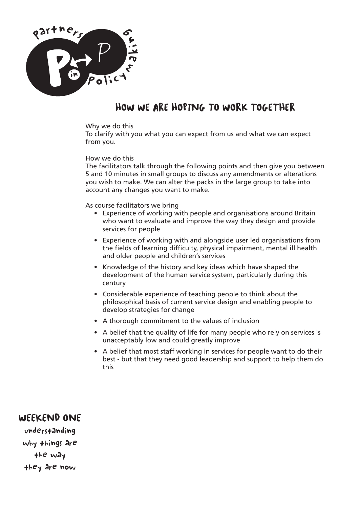

# HOW WE ARE HOPING TO WORK TOGETHER

### Why we do this

To clarify with you what you can expect from us and what we can expect from you.

#### How we do this

The facilitators talk through the following points and then give you between 5 and 10 minutes in small groups to discuss any amendments or alterations you wish to make. We can alter the packs in the large group to take into account any changes you want to make.

#### As course facilitators we bring

- Experience of working with people and organisations around Britain who want to evaluate and improve the way they design and provide services for people
- Experience of working with and alongside user led organisations from the fields of learning difficulty, physical impairment, mental ill health and older people and children's services
- Knowledge of the history and key ideas which have shaped the development of the human service system, particularly during this century
- Considerable experience of teaching people to think about the philosophical basis of current service design and enabling people to develop strategies for change
- A thorough commitment to the values of inclusion
- A belief that the quality of life for many people who rely on services is unacceptably low and could greatly improve
- A belief that most staff working in services for people want to do their best - but that they need good leadership and support to help them do this

### WEEKEND ONE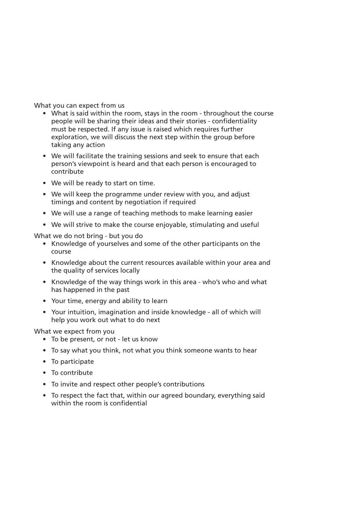What you can expect from us

- What is said within the room, stays in the room throughout the course people will be sharing their ideas and their stories - confidentiality must be respected. If any issue is raised which requires further exploration, we will discuss the next step within the group before taking any action
- We will facilitate the training sessions and seek to ensure that each person's viewpoint is heard and that each person is encouraged to contribute
- We will be ready to start on time.
- We will keep the programme under review with you, and adjust timings and content by negotiation if required
- We will use a range of teaching methods to make learning easier
- We will strive to make the course enjoyable, stimulating and useful

What we do not bring - but you do

- Knowledge of yourselves and some of the other participants on the course
- Knowledge about the current resources available within your area and the quality of services locally
- Knowledge of the way things work in this area who's who and what has happened in the past
- Your time, energy and ability to learn
- Your intuition, imagination and inside knowledge all of which will help you work out what to do next

What we expect from you

- To be present, or not let us know
- To say what you think, not what you think someone wants to hear
- To participate
- To contribute
- To invite and respect other people's contributions
- To respect the fact that, within our agreed boundary, everything said within the room is confidential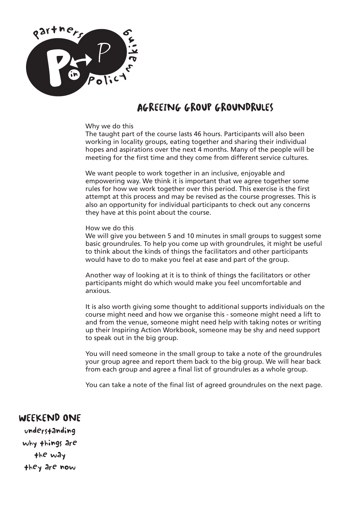

## AGREEING GROUP GROUNDRULES

#### Why we do this

The taught part of the course lasts 46 hours. Participants will also been working in locality groups, eating together and sharing their individual hopes and aspirations over the next 4 months. Many of the people will be meeting for the first time and they come from different service cultures.

We want people to work together in an inclusive, enjoyable and empowering way. We think it is important that we agree together some rules for how we work together over this period. This exercise is the first attempt at this process and may be revised as the course progresses. This is also an opportunity for individual participants to check out any concerns they have at this point about the course.

#### How we do this

We will give you between 5 and 10 minutes in small groups to suggest some basic groundrules. To help you come up with groundrules, it might be useful to think about the kinds of things the facilitators and other participants would have to do to make you feel at ease and part of the group.

Another way of looking at it is to think of things the facilitators or other participants might do which would make you feel uncomfortable and anxious.

It is also worth giving some thought to additional supports individuals on the course might need and how we organise this - someone might need a lift to and from the venue, someone might need help with taking notes or writing up their Inspiring Action Workbook, someone may be shy and need support to speak out in the big group.

You will need someone in the small group to take a note of the groundrules your group agree and report them back to the big group. We will hear back from each group and agree a final list of groundrules as a whole group.

You can take a note of the final list of agreed groundrules on the next page.

WEEKEND ONE understanding why things are the way they are now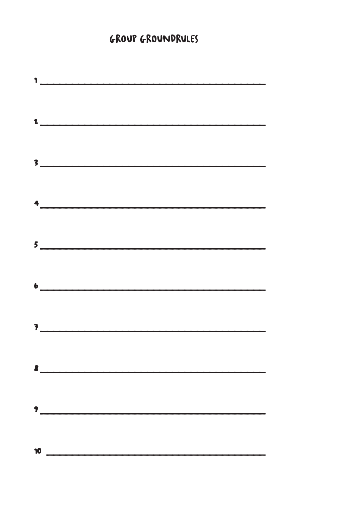# **GROUP GROUNDRULES**

|    | $\begin{array}{c} \hline \end{array}$                                                                                                                                                                                                                                                                                                                               |
|----|---------------------------------------------------------------------------------------------------------------------------------------------------------------------------------------------------------------------------------------------------------------------------------------------------------------------------------------------------------------------|
|    |                                                                                                                                                                                                                                                                                                                                                                     |
|    |                                                                                                                                                                                                                                                                                                                                                                     |
|    | $\frac{1}{2}$                                                                                                                                                                                                                                                                                                                                                       |
|    |                                                                                                                                                                                                                                                                                                                                                                     |
|    | $\overline{\phantom{a}}$                                                                                                                                                                                                                                                                                                                                            |
|    |                                                                                                                                                                                                                                                                                                                                                                     |
|    |                                                                                                                                                                                                                                                                                                                                                                     |
|    | $\begin{picture}(20,10) \put(0,0){\vector(1,0){100}} \put(15,0){\vector(1,0){100}} \put(15,0){\vector(1,0){100}} \put(15,0){\vector(1,0){100}} \put(15,0){\vector(1,0){100}} \put(15,0){\vector(1,0){100}} \put(15,0){\vector(1,0){100}} \put(15,0){\vector(1,0){100}} \put(15,0){\vector(1,0){100}} \put(15,0){\vector(1,0){100}} \put(15,0){\vector(1,0){100}} \$ |
|    |                                                                                                                                                                                                                                                                                                                                                                     |
|    | $\frac{1}{2}$                                                                                                                                                                                                                                                                                                                                                       |
|    |                                                                                                                                                                                                                                                                                                                                                                     |
|    |                                                                                                                                                                                                                                                                                                                                                                     |
|    | $\bullet$ $\overbrace{\hspace{2.5cm}}$                                                                                                                                                                                                                                                                                                                              |
|    |                                                                                                                                                                                                                                                                                                                                                                     |
|    | $\overline{\mathcal{E}}$                                                                                                                                                                                                                                                                                                                                            |
|    |                                                                                                                                                                                                                                                                                                                                                                     |
|    |                                                                                                                                                                                                                                                                                                                                                                     |
|    |                                                                                                                                                                                                                                                                                                                                                                     |
|    |                                                                                                                                                                                                                                                                                                                                                                     |
|    |                                                                                                                                                                                                                                                                                                                                                                     |
|    |                                                                                                                                                                                                                                                                                                                                                                     |
|    |                                                                                                                                                                                                                                                                                                                                                                     |
| 10 |                                                                                                                                                                                                                                                                                                                                                                     |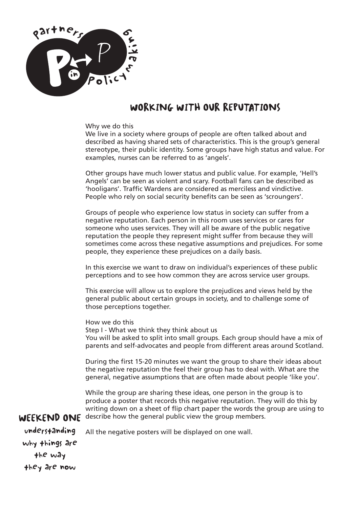

### WORKING WITH OUR REPUTATIONS

#### Why we do this

We live in a society where groups of people are often talked about and described as having shared sets of characteristics. This is the group's general stereotype, their public identity. Some groups have high status and value. For examples, nurses can be referred to as 'angels'.

Other groups have much lower status and public value. For example, 'Hell's Angels' can be seen as violent and scary. Football fans can be described as 'hooligans'. Traffic Wardens are considered as merciless and vindictive. People who rely on social security benefits can be seen as 'scroungers'.

Groups of people who experience low status in society can suffer from a negative reputation. Each person in this room uses services or cares for someone who uses services. They will all be aware of the public negative reputation the people they represent might suffer from because they will sometimes come across these negative assumptions and prejudices. For some people, they experience these prejudices on a daily basis.

In this exercise we want to draw on individual's experiences of these public perceptions and to see how common they are across service user groups.

This exercise will allow us to explore the prejudices and views held by the general public about certain groups in society, and to challenge some of those perceptions together.

How we do this Step I - What we think they think about us You will be asked to split into small groups. Each group should have a mix of parents and self-advocates and people from different areas around Scotland.

During the first 15-20 minutes we want the group to share their ideas about the negative reputation the feel their group has to deal with. What are the general, negative assumptions that are often made about people 'like you'.

WEEKEND ONE describe how the general public view the group members. While the group are sharing these ideas, one person in the group is to produce a poster that records this negative reputation. They will do this by writing down on a sheet of flip chart paper the words the group are using to

All the negative posters will be displayed on one wall.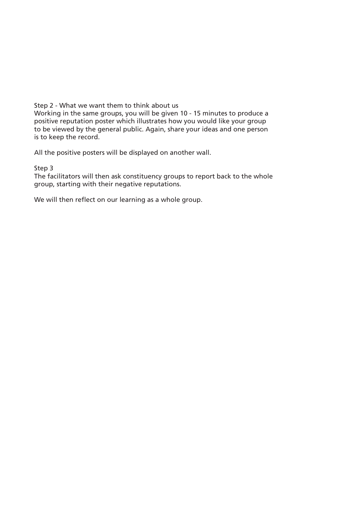Step 2 - What we want them to think about us

Working in the same groups, you will be given 10 - 15 minutes to produce a positive reputation poster which illustrates how you would like your group to be viewed by the general public. Again, share your ideas and one person is to keep the record.

All the positive posters will be displayed on another wall.

### Step 3

The facilitators will then ask constituency groups to report back to the whole group, starting with their negative reputations.

We will then reflect on our learning as a whole group.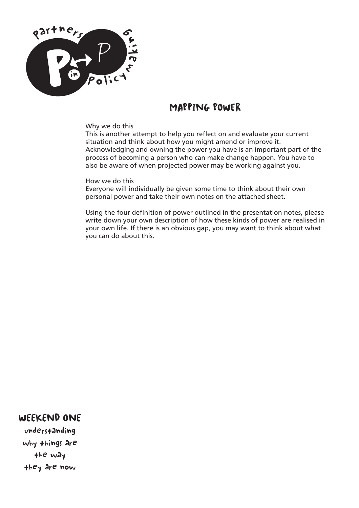

### MAPPING POWER

### Why we do this

This is another attempt to help you reflect on and evaluate your current situation and think about how you might amend or improve it. Acknowledging and owning the power you have is an important part of the process of becoming a person who can make change happen. You have to also be aware of when projected power may be working against you.

#### How we do this

Everyone will individually be given some time to think about their own personal power and take their own notes on the attached sheet.

Using the four definition of power outlined in the presentation notes, please write down your own description of how these kinds of power are realised in your own life. If there is an obvious gap, you may want to think about what you can do about this.

### WEEKEND ONE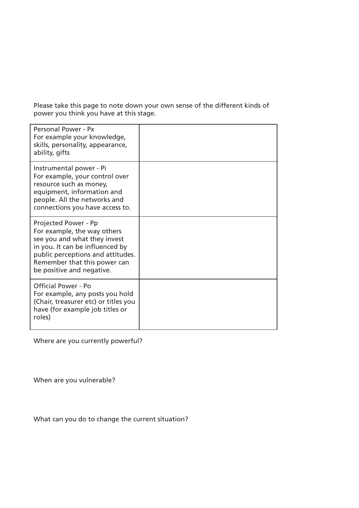Please take this page to note down your own sense of the different kinds of power you think you have at this stage.

| Personal Power - Px<br>For example your knowledge,<br>skills, personality, appearance,<br>ability, gifts                                                                                                                 |  |
|--------------------------------------------------------------------------------------------------------------------------------------------------------------------------------------------------------------------------|--|
| Instrumental power - Pi<br>For example, your control over<br>resource such as money,<br>equipment, information and<br>people. All the networks and<br>connections you have access to.                                    |  |
| Projected Power - Pp<br>For example, the way others<br>see you and what they invest<br>in you. It can be influenced by<br>public perceptions and attitudes.<br>Remember that this power can<br>be positive and negative. |  |
| Official Power - Po<br>For example, any posts you hold<br>(Chair, treasurer etc) or titles you<br>have (for example job titles or<br>roles)                                                                              |  |

Where are you currently powerful?

When are you vulnerable?

What can you do to change the current situation?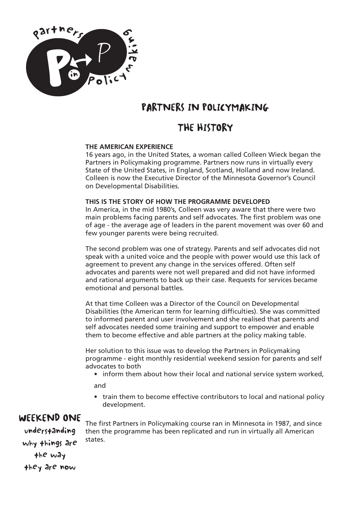

# PARTNERS IN POLICYMAKING

### THE HISTORY

### **THE AMERICAN EXPERIENCE**

16 years ago, in the United States, a woman called Colleen Wieck began the Partners in Policymaking programme. Partners now runs in virtually every State of the United States, in England, Scotland, Holland and now Ireland. Colleen is now the Executive Director of the Minnesota Governor's Council on Developmental Disabilities.

### **THIS IS THE STORY OF HOW THE PROGRAMME DEVELOPED**

In America, in the mid 1980's, Colleen was very aware that there were two main problems facing parents and self advocates. The first problem was one of age - the average age of leaders in the parent movement was over 60 and few younger parents were being recruited.

The second problem was one of strategy. Parents and self advocates did not speak with a united voice and the people with power would use this lack of agreement to prevent any change in the services offered. Often self advocates and parents were not well prepared and did not have informed and rational arguments to back up their case. Requests for services became emotional and personal battles.

At that time Colleen was a Director of the Council on Developmental Disabilities (the American term for learning difficulties). She was committed to informed parent and user involvement and she realised that parents and self advocates needed some training and support to empower and enable them to become effective and able partners at the policy making table.

Her solution to this issue was to develop the Partners in Policymaking programme - eight monthly residential weekend session for parents and self advocates to both

• inform them about how their local and national service system worked,

and

• train them to become effective contributors to local and national policy development.

### WEEKEND ONE

understanding why things are the way they are now

The first Partners in Policymaking course ran in Minnesota in 1987, and since then the programme has been replicated and run in virtually all American states.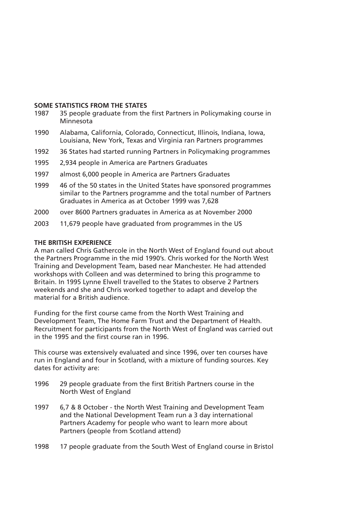#### **SOME STATISTICS FROM THE STATES**

- 1987 35 people graduate from the first Partners in Policymaking course in Minnesota
- 1990 Alabama, California, Colorado, Connecticut, Illinois, Indiana, Iowa, Louisiana, New York, Texas and Virginia ran Partners programmes
- 1992 36 States had started running Partners in Policymaking programmes
- 1995 2,934 people in America are Partners Graduates
- 1997 almost 6,000 people in America are Partners Graduates
- 1999 46 of the 50 states in the United States have sponsored programmes similar to the Partners programme and the total number of Partners Graduates in America as at October 1999 was 7,628
- 2000 over 8600 Partners graduates in America as at November 2000
- 2003 11,679 people have graduated from programmes in the US

#### **THE BRITISH EXPERIENCE**

A man called Chris Gathercole in the North West of England found out about the Partners Programme in the mid 1990's. Chris worked for the North West Training and Development Team, based near Manchester. He had attended workshops with Colleen and was determined to bring this programme to Britain. In 1995 Lynne Elwell travelled to the States to observe 2 Partners weekends and she and Chris worked together to adapt and develop the material for a British audience.

Funding for the first course came from the North West Training and Development Team, The Home Farm Trust and the Department of Health. Recruitment for participants from the North West of England was carried out in the 1995 and the first course ran in 1996.

This course was extensively evaluated and since 1996, over ten courses have run in England and four in Scotland, with a mixture of funding sources. Key dates for activity are:

- 1996 29 people graduate from the first British Partners course in the North West of England
- 1997 6,7 & 8 October the North West Training and Development Team and the National Development Team run a 3 day international Partners Academy for people who want to learn more about Partners (people from Scotland attend)
- 1998 17 people graduate from the South West of England course in Bristol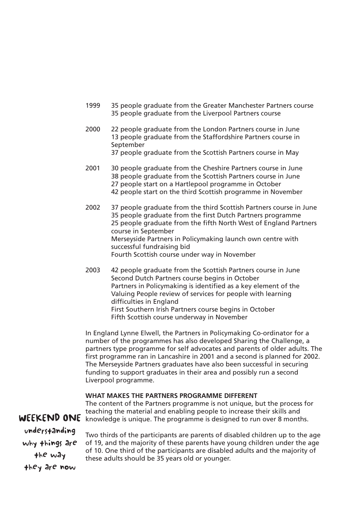- 1999 35 people graduate from the Greater Manchester Partners course 35 people graduate from the Liverpool Partners course
- 2000 22 people graduate from the London Partners course in June 13 people graduate from the Staffordshire Partners course in September
	- 37 people graduate from the Scottish Partners course in May
- 2001 30 people graduate from the Cheshire Partners course in June 38 people graduate from the Scottish Partners course in June 27 people start on a Hartlepool programme in October 42 people start on the third Scottish programme in November
- 2002 37 people graduate from the third Scottish Partners course in June 35 people graduate from the first Dutch Partners programme 25 people graduate from the fifth North West of England Partners course in September Merseyside Partners in Policymaking launch own centre with successful fundraising bid Fourth Scottish course under way in November
- 2003 42 people graduate from the Scottish Partners course in June Second Dutch Partners course begins in October Partners in Policymaking is identified as a key element of the Valuing People review of services for people with learning difficulties in England First Southern Irish Partners course begins in October Fifth Scottish course underway in November

In England Lynne Elwell, the Partners in Policymaking Co-ordinator for a number of the programmes has also developed Sharing the Challenge, a partners type programme for self advocates and parents of older adults. The first programme ran in Lancashire in 2001 and a second is planned for 2002. The Merseyside Partners graduates have also been successful in securing funding to support graduates in their area and possibly run a second Liverpool programme.

#### **WHAT MAKES THE PARTNERS PROGRAMME DIFFERENT**

The content of the Partners programme is not unique, but the process for teaching the material and enabling people to increase their skills and knowledge is unique. The programme is designed to run over 8 months.

understanding why things are the way they are now

WEEKEND ONE

Two thirds of the participants are parents of disabled children up to the age of 19, and the majority of these parents have young children under the age of 10. One third of the participants are disabled adults and the majority of these adults should be 35 years old or younger.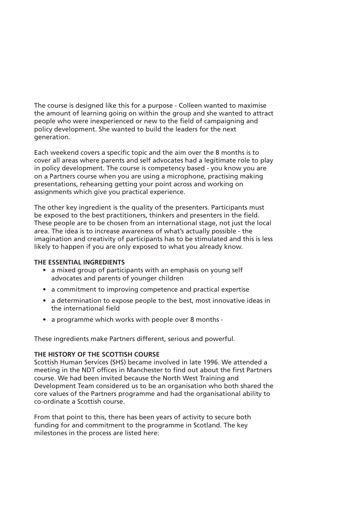The course is designed like this for a purpose - Colleen wanted to maximise the amount of learning going on within the group and she wanted to attract people who were inexperienced or new to the field of campaigning and policy development. She wanted to build the leaders for the next generation.

Each weekend covers a specific topic and the aim over the 8 months is to cover all areas where parents and self advocates had a legitimate role to play in policy development. The course is competency based - you know you are on a Partners course when you are using a microphone, practising making presentations, rehearsing getting your point across and working on assignments which give you practical experience.

The other key ingredient is the quality of the presenters. Participants must be exposed to the best practitioners, thinkers and presenters in the field. These people are to be chosen from an international stage, not just the local area. The idea is to increase awareness of what's actually possible - the imagination and creativity of participants has to be stimulated and this is less likely to happen if you are only exposed to what you already know.

### **THE ESSENTIAL INGREDIENTS**

- a mixed group of participants with an emphasis on young self advocates and parents of younger children
- a commitment to improving competence and practical expertise
- a determination to expose people to the best, most innovative ideas in the international field
- a programme which works with people over 8 months -

These ingredients make Partners different, serious and powerful.

### **THE HISTORY OF THE SCOTTISH COURSE**

Scottish Human Services (SHS) became involved in late 1996. We attended a meeting in the NDT offices in Manchester to find out about the first Partners course. We had been invited because the North West Training and Development Team considered us to be an organisation who both shared the core values of the Partners programme and had the organisational ability to co-ordinate a Scottish course.

From that point to this, there has been years of activity to secure both funding for and commitment to the programme in Scotland. The key milestones in the process are listed here: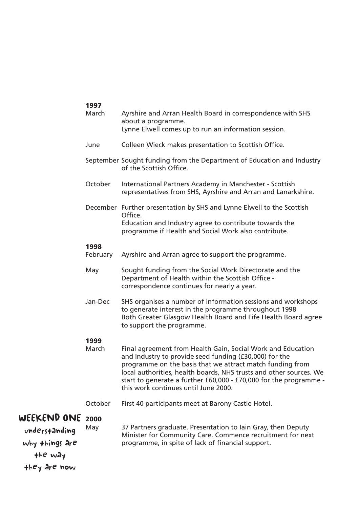|                              | 1997             |                                                                                                                                                                                                                                                                                                                                                                       |
|------------------------------|------------------|-----------------------------------------------------------------------------------------------------------------------------------------------------------------------------------------------------------------------------------------------------------------------------------------------------------------------------------------------------------------------|
|                              | March            | Ayrshire and Arran Health Board in correspondence with SHS<br>about a programme.<br>Lynne Elwell comes up to run an information session.                                                                                                                                                                                                                              |
|                              | June             | Colleen Wieck makes presentation to Scottish Office.                                                                                                                                                                                                                                                                                                                  |
|                              |                  | September Sought funding from the Department of Education and Industry<br>of the Scottish Office.                                                                                                                                                                                                                                                                     |
|                              | October          | International Partners Academy in Manchester - Scottish<br>representatives from SHS, Ayrshire and Arran and Lanarkshire.                                                                                                                                                                                                                                              |
|                              |                  | December Further presentation by SHS and Lynne Elwell to the Scottish<br>Office.<br>Education and Industry agree to contribute towards the<br>programme if Health and Social Work also contribute.                                                                                                                                                                    |
|                              | 1998<br>February | Ayrshire and Arran agree to support the programme.                                                                                                                                                                                                                                                                                                                    |
|                              | May              | Sought funding from the Social Work Directorate and the<br>Department of Health within the Scottish Office -<br>correspondence continues for nearly a year.                                                                                                                                                                                                           |
|                              | Jan-Dec          | SHS organises a number of information sessions and workshops<br>to generate interest in the programme throughout 1998<br>Both Greater Glasgow Health Board and Fife Health Board agree<br>to support the programme.                                                                                                                                                   |
|                              | 1999<br>March    | Final agreement from Health Gain, Social Work and Education<br>and Industry to provide seed funding (£30,000) for the<br>programme on the basis that we attract match funding from<br>local authorities, health boards, NHS trusts and other sources. We<br>start to generate a further £60,000 - £70,000 for the programme -<br>this work continues until June 2000. |
|                              | October          | First 40 participants meet at Barony Castle Hotel.                                                                                                                                                                                                                                                                                                                    |
| WEEKEND ONE<br>understanding | 2000<br>May      | 37 Partners graduate. Presentation to lain Gray, then Deputy<br>Minister for Community Care. Commence recruitment for next                                                                                                                                                                                                                                            |
| why things are               |                  | programme, in spite of lack of financial support.                                                                                                                                                                                                                                                                                                                     |
| the way                      |                  |                                                                                                                                                                                                                                                                                                                                                                       |
| they are now                 |                  |                                                                                                                                                                                                                                                                                                                                                                       |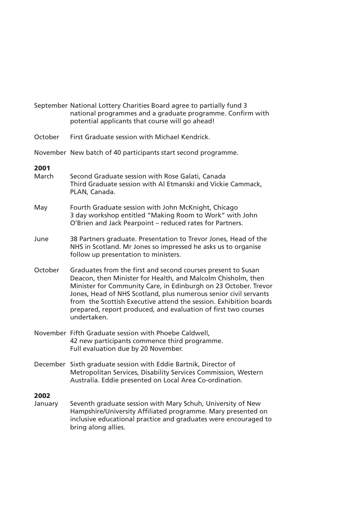- September National Lottery Charities Board agree to partially fund 3 national programmes and a graduate programme. Confirm with potential applicants that course will go ahead!
- October First Graduate session with Michael Kendrick.
- November New batch of 40 participants start second programme.

### **2001**

- March Second Graduate session with Rose Galati, Canada Third Graduate session with Al Etmanski and Vickie Cammack, PLAN, Canada.
- May Fourth Graduate session with John McKnight, Chicago 3 day workshop entitled "Making Room to Work" with John O'Brien and Jack Pearpoint – reduced rates for Partners.
- June 38 Partners graduate. Presentation to Trevor Jones, Head of the NHS in Scotland. Mr Jones so impressed he asks us to organise follow up presentation to ministers.
- October Graduates from the first and second courses present to Susan Deacon, then Minister for Health, and Malcolm Chisholm, then Minister for Community Care, in Edinburgh on 23 October. Trevor Jones, Head of NHS Scotland, plus numerous senior civil servants from the Scottish Executive attend the session. Exhibition boards prepared, report produced, and evaluation of first two courses undertaken.
- November Fifth Graduate session with Phoebe Caldwell, 42 new participants commence third programme. Full evaluation due by 20 November.
- December Sixth graduate session with Eddie Bartnik, Director of Metropolitan Services, Disability Services Commission, Western Australia. Eddie presented on Local Area Co-ordination.

### **2002**

January Seventh graduate session with Mary Schuh, University of New Hampshire/University Affiliated programme. Mary presented on inclusive educational practice and graduates were encouraged to bring along allies.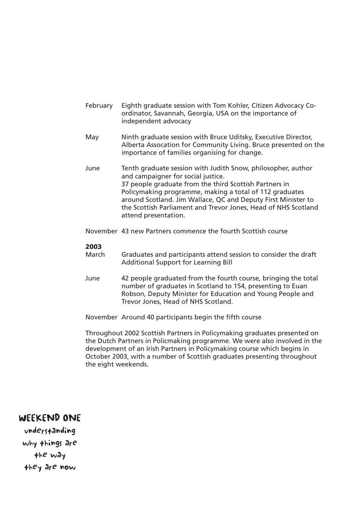- February Eighth graduate session with Tom Kohler, Citizen Advocacy Coordinator, Savannah, Georgia, USA on the importance of independent advocacy
- May Minth graduate session with Bruce Uditsky, Executive Director, Alberta Assocation for Community Living. Bruce presented on the importance of families organising for change.
- June Tenth graduate session with Judith Snow, philosopher, author and campaigner for social justice. 37 people graduate from the third Scottish Partners in Policymaking programme, making a total of 112 graduates around Scotland. Jim Wallace, QC and Deputy First Minister to the Scottish Parliament and Trevor Jones, Head of NHS Scotland attend presentation.
- November 43 new Partners commence the fourth Scottish course

### **2003**

- March Graduates and participants attend session to consider the draft Additional Support for Learning Bill
- June 42 people graduated from the fourth course, bringing the total number of graduates in Scotland to 154, presenting to Euan Robson, Deputy Minister for Education and Young People and Trevor Jones, Head of NHS Scotland.

November Around 40 participants begin the fifth course

Throughout 2002 Scottish Partners in Policymaking graduates presented on the Dutch Partners in Policmaking programme. We were also involved in the development of an Irish Partners in Policymaking course which begins in October 2003, with a number of Scottish graduates presenting throughout the eight weekends.

### WEEKEND ONE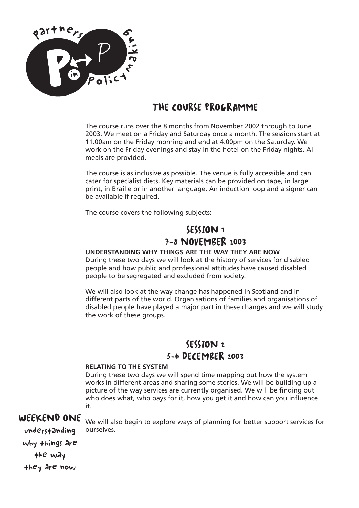

# THE COURSE PROGRAMME

The course runs over the 8 months from November 2002 through to June 2003. We meet on a Friday and Saturday once a month. The sessions start at 11.00am on the Friday morning and end at 4.00pm on the Saturday. We work on the Friday evenings and stay in the hotel on the Friday nights. All meals are provided.

The course is as inclusive as possible. The venue is fully accessible and can cater for specialist diets. Key materials can be provided on tape, in large print, in Braille or in another language. An induction loop and a signer can be available if required.

The course covers the following subjects:

### SESSION 1 7-8 NOVEMBER 2003

### **UNDERSTANDING WHY THINGS ARE THE WAY THEY ARE NOW**

During these two days we will look at the history of services for disabled people and how public and professional attitudes have caused disabled people to be segregated and excluded from society.

We will also look at the way change has happened in Scotland and in different parts of the world. Organisations of families and organisations of disabled people have played a major part in these changes and we will study the work of these groups.

# SESSION 2 5-6 DECEMBER 2003

### **RELATING TO THE SYSTEM**

During these two days we will spend time mapping out how the system works in different areas and sharing some stories. We will be building up a picture of the way services are currently organised. We will be finding out who does what, who pays for it, how you get it and how can you influence it.

### WEEKEND ONE

We will also begin to explore ways of planning for better support services for ourselves.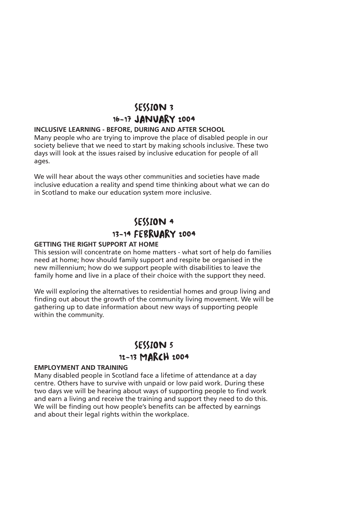### SESSION 3 16-17 JANUARY 2004

### **INCLUSIVE LEARNING - BEFORE, DURING AND AFTER SCHOOL**

Many people who are trying to improve the place of disabled people in our society believe that we need to start by making schools inclusive. These two days will look at the issues raised by inclusive education for people of all ages.

We will hear about the ways other communities and societies have made inclusive education a reality and spend time thinking about what we can do in Scotland to make our education system more inclusive.

# SESSION 4 13-14 FEBRUARY 2004

#### **GETTING THE RIGHT SUPPORT AT HOME**

This session will concentrate on home matters - what sort of help do families need at home; how should family support and respite be organised in the new millennium; how do we support people with disabilities to leave the family home and live in a place of their choice with the support they need.

We will exploring the alternatives to residential homes and group living and finding out about the growth of the community living movement. We will be gathering up to date information about new ways of supporting people within the community.

### SESSION 5 12-13 MARCH 2004

#### **EMPLOYMENT AND TRAINING**

Many disabled people in Scotland face a lifetime of attendance at a day centre. Others have to survive with unpaid or low paid work. During these two days we will be hearing about ways of supporting people to find work and earn a living and receive the training and support they need to do this. We will be finding out how people's benefits can be affected by earnings and about their legal rights within the workplace.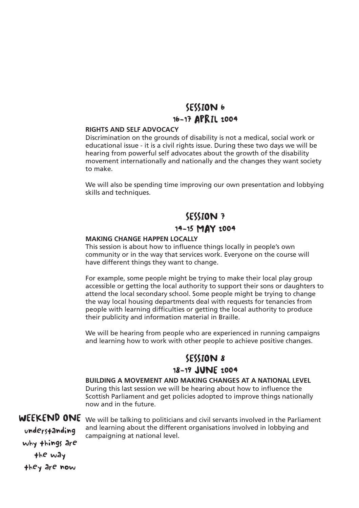### SESSION 6 16-17 APRIL 2004

### **RIGHTS AND SELF ADVOCACY**

Discrimination on the grounds of disability is not a medical, social work or educational issue - it is a civil rights issue. During these two days we will be hearing from powerful self advocates about the growth of the disability movement internationally and nationally and the changes they want society to make.

We will also be spending time improving our own presentation and lobbying skills and techniques.

# SESSION 7 14-15 MAY 2004

#### **MAKING CHANGE HAPPEN LOCALLY**

This session is about how to influence things locally in people's own community or in the way that services work. Everyone on the course will have different things they want to change.

For example, some people might be trying to make their local play group accessible or getting the local authority to support their sons or daughters to attend the local secondary school. Some people might be trying to change the way local housing departments deal with requests for tenancies from people with learning difficulties or getting the local authority to produce their publicity and information material in Braille.

We will be hearing from people who are experienced in running campaigns and learning how to work with other people to achieve positive changes.

### SESSION 8 18-19 JUNE 2004

**BUILDING A MOVEMENT AND MAKING CHANGES AT A NATIONAL LEVEL** During this last session we will be hearing about how to influence the Scottish Parliament and get policies adopted to improve things nationally now and in the future.

WEEKEND ONE We will be talking to politicians and civil servants involved in the Parliament and learning about the different organisations involved in lobbying and campaigning at national level.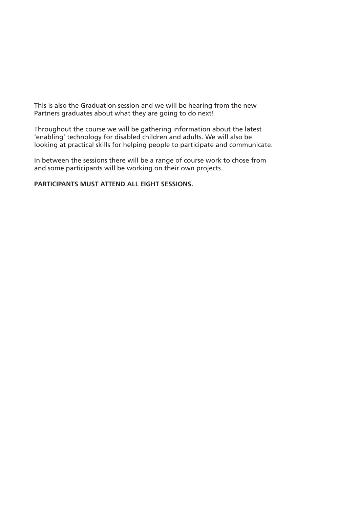This is also the Graduation session and we will be hearing from the new Partners graduates about what they are going to do next!

Throughout the course we will be gathering information about the latest 'enabling' technology for disabled children and adults. We will also be looking at practical skills for helping people to participate and communicate.

In between the sessions there will be a range of course work to chose from and some participants will be working on their own projects.

**PARTICIPANTS MUST ATTEND ALL EIGHT SESSIONS.**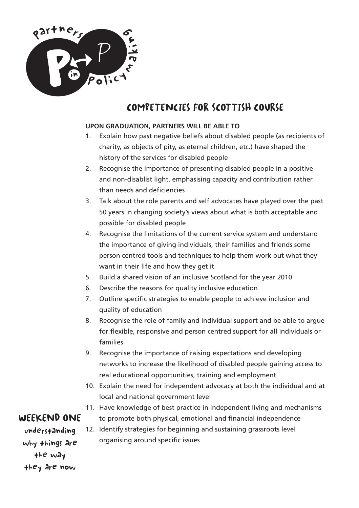

# COMPETENCIES FOR SCOTTISH COURSE

## **UPON GRADUATION, PARTNERS WILL BE ABLE TO**

- 1. Explain how past negative beliefs about disabled people (as recipients of charity, as objects of pity, as eternal children, etc.) have shaped the history of the services for disabled people
- 2. Recognise the importance of presenting disabled people in a positive and non-disablist light, emphasising capacity and contribution rather than needs and deficiencies
- 3. Talk about the role parents and self advocates have played over the past 50 years in changing society's views about what is both acceptable and possible for disabled people
- 4. Recognise the limitations of the current service system and understand the importance of giving individuals, their families and friends some person centred tools and techniques to help them work out what they want in their life and how they get it
- 5. Build a shared vision of an inclusive Scotland for the year 2010
- 6. Describe the reasons for quality inclusive education
- 7. Outline specific strategies to enable people to achieve inclusion and quality of education
- 8. Recognise the role of family and individual support and be able to argue for flexible, responsive and person centred support for all individuals or families
- 9. Recognise the importance of raising expectations and developing networks to increase the likelihood of disabled people gaining access to real educational opportunities, training and employment
- 10. Explain the need for independent advocacy at both the individual and at local and national government level
- 11. Have knowledge of best practice in independent living and mechanisms to promote both physical, emotional and financial independence
- 12. Identify strategies for beginning and sustaining grassroots level organising around specific issues

# WEEKEND ONE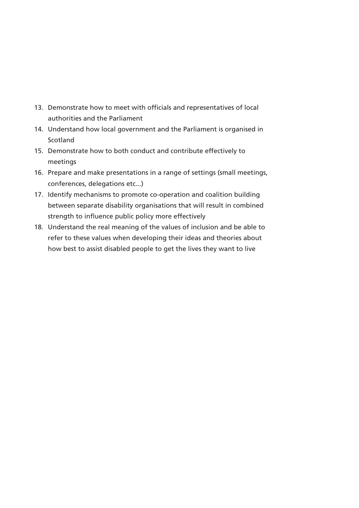- 13. Demonstrate how to meet with officials and representatives of local authorities and the Parliament
- 14. Understand how local government and the Parliament is organised in Scotland
- 15. Demonstrate how to both conduct and contribute effectively to meetings
- 16. Prepare and make presentations in a range of settings (small meetings, conferences, delegations etc...)
- 17. Identify mechanisms to promote co-operation and coalition building between separate disability organisations that will result in combined strength to influence public policy more effectively
- 18. Understand the real meaning of the values of inclusion and be able to refer to these values when developing their ideas and theories about how best to assist disabled people to get the lives they want to live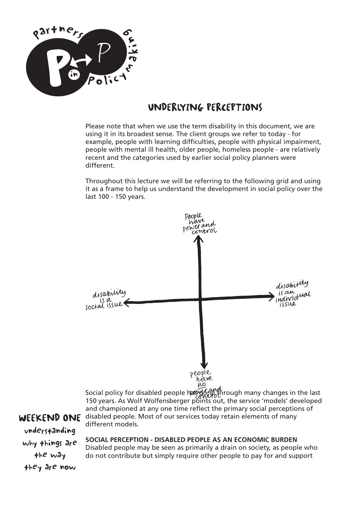

# UNDERLYING PERCEPTIONS

Please note that when we use the term disability in this document, we are using it in its broadest sense. The client groups we refer to today - for example, people with learning difficulties, people with physical impairment, people with mental ill health, older people, homeless people - are relatively recent and the categories used by earlier social policy planners were different.

Throughout this lecture we will be referring to the following grid and using it as a frame to help us understand the development in social policy over the last 100 - 150 years.



Social policy for disabled people has gone through many changes in the last 150 years. As Wolf Wolfensberger points out, the service 'models' developed and championed at any one time reflect the primary social perceptions of disabled people. Most of our services today retain elements of many different models.

WEEKEND ONE understanding why things are the way they are now

**SOCIAL PERCEPTION - DISABLED PEOPLE AS AN ECONOMIC BURDEN**

Disabled people may be seen as primarily a drain on society, as people who do not contribute but simply require other people to pay for and support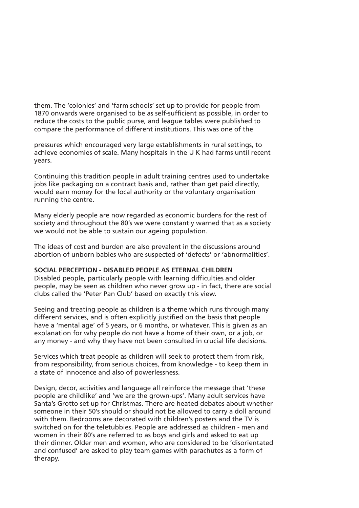them. The 'colonies' and 'farm schools' set up to provide for people from 1870 onwards were organised to be as self-sufficient as possible, in order to reduce the costs to the public purse, and league tables were published to compare the performance of different institutions. This was one of the

pressures which encouraged very large establishments in rural settings, to achieve economies of scale. Many hospitals in the U K had farms until recent years.

Continuing this tradition people in adult training centres used to undertake jobs like packaging on a contract basis and, rather than get paid directly, would earn money for the local authority or the voluntary organisation running the centre.

Many elderly people are now regarded as economic burdens for the rest of society and throughout the 80's we were constantly warned that as a society we would not be able to sustain our ageing population.

The ideas of cost and burden are also prevalent in the discussions around abortion of unborn babies who are suspected of 'defects' or 'abnormalities'.

#### **SOCIAL PERCEPTION - DISABLED PEOPLE AS ETERNAL CHILDREN**

Disabled people, particularly people with learning difficulties and older people, may be seen as children who never grow up - in fact, there are social clubs called the 'Peter Pan Club' based on exactly this view.

Seeing and treating people as children is a theme which runs through many different services, and is often explicitly justified on the basis that people have a 'mental age' of 5 years, or 6 months, or whatever. This is given as an explanation for why people do not have a home of their own, or a job, or any money - and why they have not been consulted in crucial life decisions.

Services which treat people as children will seek to protect them from risk, from responsibility, from serious choices, from knowledge - to keep them in a state of innocence and also of powerlessness.

Design, decor, activities and language all reinforce the message that 'these people are childlike' and 'we are the grown-ups'. Many adult services have Santa's Grotto set up for Christmas. There are heated debates about whether someone in their 50's should or should not be allowed to carry a doll around with them. Bedrooms are decorated with children's posters and the TV is switched on for the teletubbies. People are addressed as children - men and women in their 80's are referred to as boys and girls and asked to eat up their dinner. Older men and women, who are considered to be 'disorientated and confused' are asked to play team games with parachutes as a form of therapy.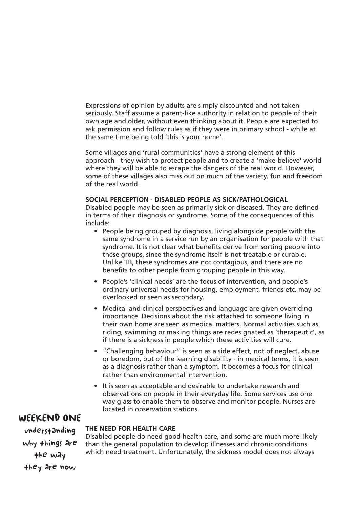Expressions of opinion by adults are simply discounted and not taken seriously. Staff assume a parent-like authority in relation to people of their own age and older, without even thinking about it. People are expected to ask permission and follow rules as if they were in primary school - while at the same time being told 'this is your home'.

Some villages and 'rural communities' have a strong element of this approach - they wish to protect people and to create a 'make-believe' world where they will be able to escape the dangers of the real world. However, some of these villages also miss out on much of the variety, fun and freedom of the real world.

### **SOCIAL PERCEPTION - DISABLED PEOPLE AS SICK/PATHOLOGICAL**

Disabled people may be seen as primarily sick or diseased. They are defined in terms of their diagnosis or syndrome. Some of the consequences of this include:

- People being grouped by diagnosis, living alongside people with the same syndrome in a service run by an organisation for people with that syndrome. It is not clear what benefits derive from sorting people into these groups, since the syndrome itself is not treatable or curable. Unlike TB, these syndromes are not contagious, and there are no benefits to other people from grouping people in this way.
- People's 'clinical needs' are the focus of intervention, and people's ordinary universal needs for housing, employment, friends etc. may be overlooked or seen as secondary.
- Medical and clinical perspectives and language are given overriding importance. Decisions about the risk attached to someone living in their own home are seen as medical matters. Normal activities such as riding, swimming or making things are redesignated as 'therapeutic', as if there is a sickness in people which these activities will cure.
- "Challenging behaviour" is seen as a side effect, not of neglect, abuse or boredom, but of the learning disability - in medical terms, it is seen as a diagnosis rather than a symptom. It becomes a focus for clinical rather than environmental intervention.
- It is seen as acceptable and desirable to undertake research and observations on people in their everyday life. Some services use one way glass to enable them to observe and monitor people. Nurses are located in observation stations.

## WEEKEND ONE

understanding why things are the way they are now

Disabled people do need good health care, and some are much more likely than the general population to develop illnesses and chronic conditions which need treatment. Unfortunately, the sickness model does not always

**THE NEED FOR HEALTH CARE**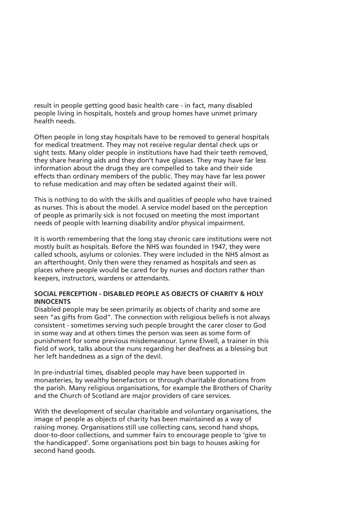result in people getting good basic health care - in fact, many disabled people living in hospitals, hostels and group homes have unmet primary health needs.

Often people in long stay hospitals have to be removed to general hospitals for medical treatment. They may not receive regular dental check ups or sight tests. Many older people in institutions have had their teeth removed, they share hearing aids and they don't have glasses. They may have far less information about the drugs they are compelled to take and their side effects than ordinary members of the public. They may have far less power to refuse medication and may often be sedated against their will.

This is nothing to do with the skills and qualities of people who have trained as nurses. This is about the model. A service model based on the perception of people as primarily sick is not focused on meeting the most important needs of people with learning disability and/or physical impairment.

It is worth remembering that the long stay chronic care institutions were not mostly built as hospitals. Before the NHS was founded in 1947, they were called schools, asylums or colonies. They were included in the NHS almost as an afterthought. Only then were they renamed as hospitals and seen as places where people would be cared for by nurses and doctors rather than keepers, instructors, wardens or attendants.

## **SOCIAL PERCEPTION - DISABLED PEOPLE AS OBJECTS OF CHARITY & HOLY INNOCENTS**

Disabled people may be seen primarily as objects of charity and some are seen "as gifts from God". The connection with religious beliefs is not always consistent - sometimes serving such people brought the carer closer to God in some way and at others times the person was seen as some form of punishment for some previous misdemeanour. Lynne Elwell, a trainer in this field of work, talks about the nuns regarding her deafness as a blessing but her left handedness as a sign of the devil.

In pre-industrial times, disabled people may have been supported in monasteries, by wealthy benefactors or through charitable donations from the parish. Many religious organisations, for example the Brothers of Charity and the Church of Scotland are major providers of care services.

With the development of secular charitable and voluntary organisations, the image of people as objects of charity has been maintained as a way of raising money. Organisations still use collecting cans, second hand shops, door-to-door collections, and summer fairs to encourage people to 'give to the handicapped'. Some organisations post bin bags to houses asking for second hand goods.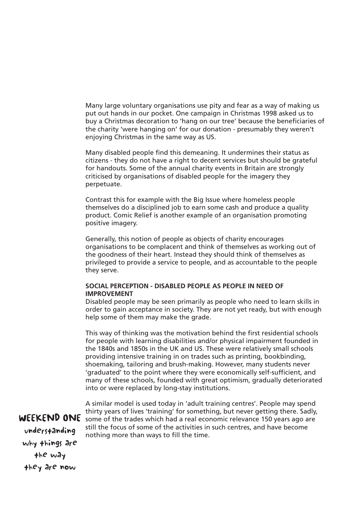Many large voluntary organisations use pity and fear as a way of making us put out hands in our pocket. One campaign in Christmas 1998 asked us to buy a Christmas decoration to 'hang on our tree' because the beneficiaries of the charity 'were hanging on' for our donation - presumably they weren't enjoying Christmas in the same way as US.

Many disabled people find this demeaning. It undermines their status as citizens - they do not have a right to decent services but should be grateful for handouts. Some of the annual charity events in Britain are strongly criticised by organisations of disabled people for the imagery they perpetuate.

Contrast this for example with the Big Issue where homeless people themselves do a disciplined job to earn some cash and produce a quality product. Comic Relief is another example of an organisation promoting positive imagery.

Generally, this notion of people as objects of charity encourages organisations to be complacent and think of themselves as working out of the goodness of their heart. Instead they should think of themselves as privileged to provide a service to people, and as accountable to the people they serve.

### **SOCIAL PERCEPTION - DISABLED PEOPLE AS PEOPLE IN NEED OF IMPROVEMENT**

Disabled people may be seen primarily as people who need to learn skills in order to gain acceptance in society. They are not yet ready, but with enough help some of them may make the grade.

This way of thinking was the motivation behind the first residential schools for people with learning disabilities and/or physical impairment founded in the 1840s and 1850s in the UK and US. These were relatively small schools providing intensive training in on trades such as printing, bookbinding, shoemaking, tailoring and brush-making. However, many students never 'graduated' to the point where they were economically self-sufficient, and many of these schools, founded with great optimism, gradually deteriorated into or were replaced by long-stay institutions.

A similar model is used today in 'adult training centres'. People may spend thirty years of lives 'training' for something, but never getting there. Sadly, some of the trades which had a real economic relevance 150 years ago are still the focus of some of the activities in such centres, and have become nothing more than ways to fill the time.

WEEKEND ONE understanding why things are the way they are now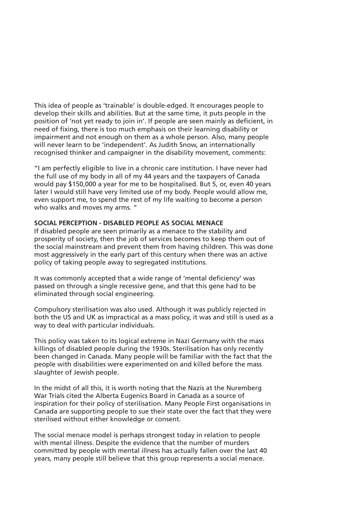This idea of people as 'trainable' is double-edged. It encourages people to develop their skills and abilities. But at the same time, it puts people in the position of 'not yet ready to join in'. If people are seen mainly as deficient, in need of fixing, there is too much emphasis on their learning disability or impairment and not enough on them as a whole person. Also, many people will never learn to be 'independent'. As Judith Snow, an internationally recognised thinker and campaigner in the disability movement, comments:

"I am perfectly eligible to live in a chronic care institution. I have never had the full use of my body in all of my 44 years and the taxpayers of Canada would pay \$150,000 a year for me to be hospitalised. But 5, or, even 40 years later I would still have very limited use of my body. People would allow me, even support me, to spend the rest of my life waiting to become a person who walks and moves my arms. "

### **SOCIAL PERCEPTION - DISABLED PEOPLE AS SOCIAL MENACE**

If disabled people are seen primarily as a menace to the stability and prosperity of society, then the job of services becomes to keep them out of the social mainstream and prevent them from having children. This was done most aggressively in the early part of this century when there was an active policy of taking people away to segregated institutions.

It was commonly accepted that a wide range of 'mental deficiency' was passed on through a single recessive gene, and that this gene had to be eliminated through social engineering.

Compulsory sterilisation was also used. Although it was publicly rejected in both the US and UK as impractical as a mass policy, it was and still is used as a way to deal with particular individuals.

This policy was taken to its logical extreme in Nazi Germany with the mass killings of disabled people during the 1930s. Sterilisation has only recently been changed in Canada. Many people will be familiar with the fact that the people with disabilities were experimented on and killed before the mass slaughter of Jewish people.

In the midst of all this, it is worth noting that the Nazis at the Nuremberg War Trials cited the Alberta Eugenics Board in Canada as a source of inspiration for their policy of sterilisation. Many People First organisations in Canada are supporting people to sue their state over the fact that they were sterilised without either knowledge or consent.

The social menace model is perhaps strongest today in relation to people with mental illness. Despite the evidence that the number of murders committed by people with mental illness has actually fallen over the last 40 years, many people still believe that this group represents a social menace.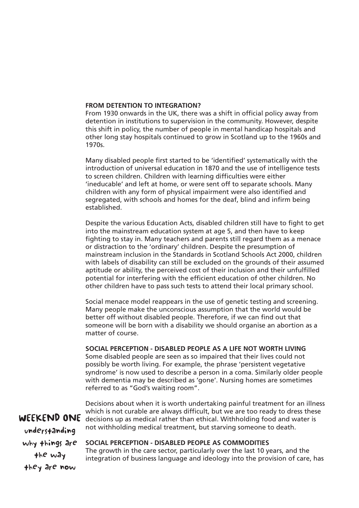#### **FROM DETENTION TO INTEGRATION?**

From 1930 onwards in the UK, there was a shift in official policy away from detention in institutions to supervision in the community. However, despite this shift in policy, the number of people in mental handicap hospitals and other long stay hospitals continued to grow in Scotland up to the 1960s and 1970s.

Many disabled people first started to be 'identified' systematically with the introduction of universal education in 1870 and the use of intelligence tests to screen children. Children with learning difficulties were either 'ineducable' and left at home, or were sent off to separate schools. Many children with any form of physical impairment were also identified and segregated, with schools and homes for the deaf, blind and infirm being established.

Despite the various Education Acts, disabled children still have to fight to get into the mainstream education system at age 5, and then have to keep fighting to stay in. Many teachers and parents still regard them as a menace or distraction to the 'ordinary' children. Despite the presumption of mainstream inclusion in the Standards in Scotland Schools Act 2000, children with labels of disability can still be excluded on the grounds of their assumed aptitude or ability, the perceived cost of their inclusion and their unfulfilled potential for interfering with the efficient education of other children. No other children have to pass such tests to attend their local primary school.

Social menace model reappears in the use of genetic testing and screening. Many people make the unconscious assumption that the world would be better off without disabled people. Therefore, if we can find out that someone will be born with a disability we should organise an abortion as a matter of course.

#### **SOCIAL PERCEPTION - DISABLED PEOPLE AS A LIFE NOT WORTH LIVING**

Some disabled people are seen as so impaired that their lives could not possibly be worth living. For example, the phrase 'persistent vegetative syndrome' is now used to describe a person in a coma. Similarly older people with dementia may be described as 'gone'. Nursing homes are sometimes referred to as "God's waiting room".

WEEKEND ONE understanding why things are the way they are now

Decisions about when it is worth undertaking painful treatment for an illness which is not curable are always difficult, but we are too ready to dress these decisions up as medical rather than ethical. Withholding food and water is not withholding medical treatment, but starving someone to death.

#### **SOCIAL PERCEPTION - DISABLED PEOPLE AS COMMODITIES**

The growth in the care sector, particularly over the last 10 years, and the integration of business language and ideology into the provision of care, has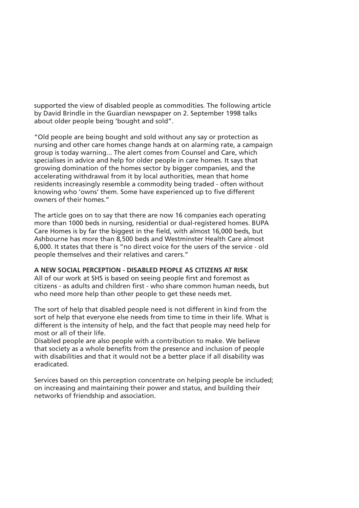supported the view of disabled people as commodities. The following article by David Brindle in the Guardian newspaper on 2. September 1998 talks about older people being 'bought and sold".

"Old people are being bought and sold without any say or protection as nursing and other care homes change hands at on alarming rate, a campaign group is today warning... The alert comes from Counsel and Care, which specialises in advice and help for older people in care homes. It says that growing domination of the homes sector by bigger companies, and the accelerating withdrawal from it by local authorities, mean that home residents increasingly resemble a commodity being traded - often without knowing who 'owns' them. Some have experienced up to five different owners of their homes."

The article goes on to say that there are now 16 companies each operating more than 1000 beds in nursing, residential or dual-registered homes. BUPA Care Homes is by far the biggest in the field, with almost 16,000 beds, but Ashbourne has more than 8,500 beds and Westminster Health Care almost 6,000. It states that there is "no direct voice for the users of the service - old people themselves and their relatives and carers."

## **A NEW SOCIAL PERCEPTION - DISABLED PEOPLE AS CITIZENS AT RISK**

All of our work at SHS is based on seeing people first and foremost as citizens - as adults and children first - who share common human needs, but who need more help than other people to get these needs met.

The sort of help that disabled people need is not different in kind from the sort of help that everyone else needs from time to time in their life. What is different is the intensity of help, and the fact that people may need help for most or all of their life.

Disabled people are also people with a contribution to make. We believe that society as a whole benefits from the presence and inclusion of people with disabilities and that it would not be a better place if all disability was eradicated.

Services based on this perception concentrate on helping people be included; on increasing and maintaining their power and status, and building their networks of friendship and association.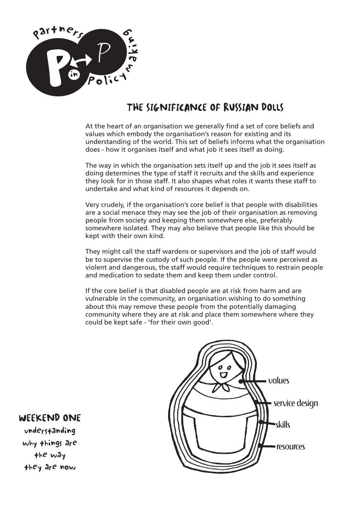

# THE SIGNIFICANCE OF RUSSIAN DOLLS

At the heart of an organisation we generally find a set of core beliefs and values which embody the organisation's reason for existing and its understanding of the world. This set of beliefs informs what the organisation does - how it organises itself and what job it sees itself as doing.

The way in which the organisation sets itself up and the job it sees itself as doing determines the type of staff it recruits and the skills and experience they look for in those staff. It also shapes what roles it wants these staff to undertake and what kind of resources it depends on.

Very crudely, if the organisation's core belief is that people with disabilities are a social menace they may see the job of their organisation as removing people from society and keeping them somewhere else, preferably somewhere isolated. They may also believe that people like this should be kept with their own kind.

They might call the staff wardens or supervisors and the job of staff would be to supervise the custody of such people. If the people were perceived as violent and dangerous, the staff would require techniques to restrain people and medication to sedate them and keep them under control.

If the core belief is that disabled people are at risk from harm and are vulnerable in the community, an organisation wishing to do something about this may remove these people from the potentially damaging community where they are at risk and place them somewhere where they could be kept safe - 'for their own good'.



# WEEKEND ONE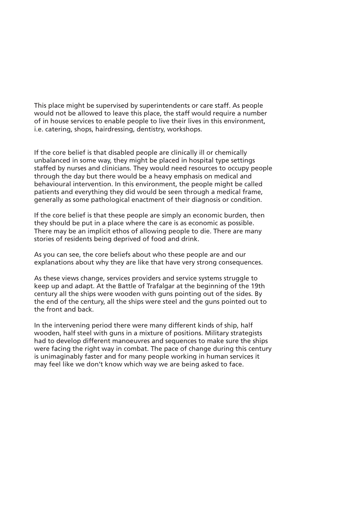This place might be supervised by superintendents or care staff. As people would not be allowed to leave this place, the staff would require a number of in house services to enable people to live their lives in this environment, i.e. catering, shops, hairdressing, dentistry, workshops.

If the core belief is that disabled people are clinically ill or chemically unbalanced in some way, they might be placed in hospital type settings staffed by nurses and clinicians. They would need resources to occupy people through the day but there would be a heavy emphasis on medical and behavioural intervention. In this environment, the people might be called patients and everything they did would be seen through a medical frame, generally as some pathological enactment of their diagnosis or condition.

If the core belief is that these people are simply an economic burden, then they should be put in a place where the care is as economic as possible. There may be an implicit ethos of allowing people to die. There are many stories of residents being deprived of food and drink.

As you can see, the core beliefs about who these people are and our explanations about why they are like that have very strong consequences.

As these views change, services providers and service systems struggle to keep up and adapt. At the Battle of Trafalgar at the beginning of the 19th century all the ships were wooden with guns pointing out of the sides. By the end of the century, all the ships were steel and the guns pointed out to the front and back.

In the intervening period there were many different kinds of ship, half wooden, half steel with guns in a mixture of positions. Military strategists had to develop different manoeuvres and sequences to make sure the ships were facing the right way in combat. The pace of change during this century is unimaginably faster and for many people working in human services it may feel like we don't know which way we are being asked to face.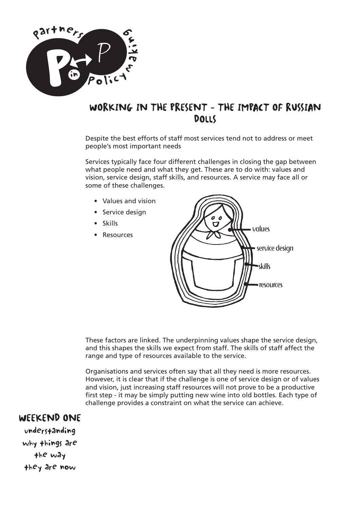

# WORKING IN THE PRESENT - THE IMPACT OF RUSSIAN **DOLLS**

Despite the best efforts of staff most services tend not to address or meet people's most important needs

Services typically face four different challenges in closing the gap between what people need and what they get. These are to do with: values and vision, service design, staff skills, and resources. A service may face all or some of these challenges.

- Values and vision
- Service design
- Skills
- Resources



These factors are linked. The underpinning values shape the service design, and this shapes the skills we expect from staff. The skills of staff affect the range and type of resources available to the service.

Organisations and services often say that all they need is more resources. However, it is clear that if the challenge is one of service design or of values and vision, just increasing staff resources will not prove to be a productive first step - it may be simply putting new wine into old bottles. Each type of challenge provides a constraint on what the service can achieve.

# WEEKEND ONE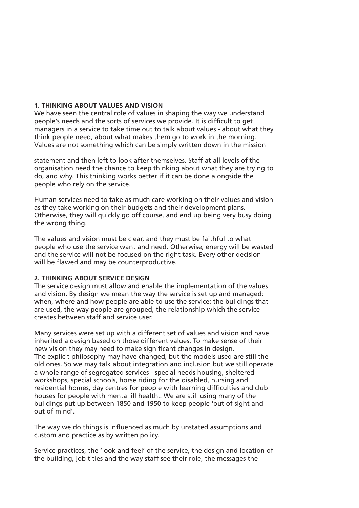#### **1. THINKING ABOUT VALUES AND VISION**

We have seen the central role of values in shaping the way we understand people's needs and the sorts of services we provide. It is difficult to get managers in a service to take time out to talk about values - about what they think people need, about what makes them go to work in the morning. Values are not something which can be simply written down in the mission

statement and then left to look after themselves. Staff at all levels of the organisation need the chance to keep thinking about what they are trying to do, and why. This thinking works better if it can be done alongside the people who rely on the service.

Human services need to take as much care working on their values and vision as they take working on their budgets and their development plans. Otherwise, they will quickly go off course, and end up being very busy doing the wrong thing.

The values and vision must be clear, and they must be faithful to what people who use the service want and need. Otherwise, energy will be wasted and the service will not be focused on the right task. Every other decision will be flawed and may be counterproductive.

## **2. THINKING ABOUT SERVICE DESIGN**

The service design must allow and enable the implementation of the values and vision. By design we mean the way the service is set up and managed: when, where and how people are able to use the service: the buildings that are used, the way people are grouped, the relationship which the service creates between staff and service user.

Many services were set up with a different set of values and vision and have inherited a design based on those different values. To make sense of their new vision they may need to make significant changes in design. The explicit philosophy may have changed, but the models used are still the old ones. So we may talk about integration and inclusion but we still operate a whole range of segregated services - special needs housing, sheltered workshops, special schools, horse riding for the disabled, nursing and residential homes, day centres for people with learning difficulties and club houses for people with mental ill health.. We are still using many of the buildings put up between 1850 and 1950 to keep people 'out of sight and out of mind'.

The way we do things is influenced as much by unstated assumptions and custom and practice as by written policy.

Service practices, the 'look and feel' of the service, the design and location of the building, job titles and the way staff see their role, the messages the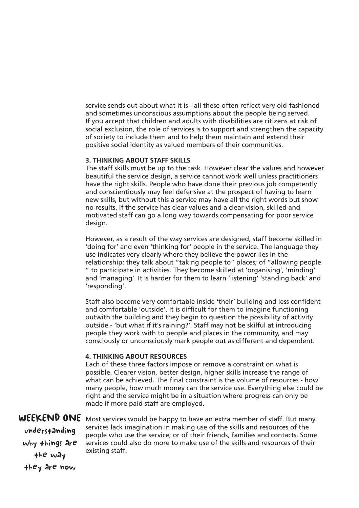service sends out about what it is - all these often reflect very old-fashioned and sometimes unconscious assumptions about the people being served. If you accept that children and adults with disabilities are citizens at risk of social exclusion, the role of services is to support and strengthen the capacity of society to include them and to help them maintain and extend their positive social identity as valued members of their communities.

### **3. THINKING ABOUT STAFF SKILLS**

The staff skills must be up to the task. However clear the values and however beautiful the service design, a service cannot work well unless practitioners have the right skills. People who have done their previous job competently and conscientiously may feel defensive at the prospect of having to learn new skills, but without this a service may have all the right words but show no results. If the service has clear values and a clear vision, skilled and motivated staff can go a long way towards compensating for poor service desian.

However, as a result of the way services are designed, staff become skilled in 'doing for' and even 'thinking for' people in the service. The language they use indicates very clearly where they believe the power lies in the relationship: they talk about "taking people to" places; of "allowing people " to participate in activities. They become skilled at 'organising', 'minding' and 'managing'. It is harder for them to learn 'listening' 'standing back' and 'responding'.

Staff also become very comfortable inside 'their' building and less confident and comfortable 'outside'. It is difficult for them to imagine functioning outwith the building and they begin to question the possibility of activity outside - 'but what if it's raining?'. Staff may not be skilful at introducing people they work with to people and places in the community, and may consciously or unconsciously mark people out as different and dependent.

## **4. THINKING ABOUT RESOURCES**

Each of these three factors impose or remove a constraint on what is possible. Clearer vision, better design, higher skills increase the range of what can be achieved. The final constraint is the volume of resources - how many people, how much money can the service use. Everything else could be right and the service might be in a situation where progress can only be made if more paid staff are employed.

# WEEKEND ONE

understanding why things are the way they are now

Most services would be happy to have an extra member of staff. But many services lack imagination in making use of the skills and resources of the people who use the service; or of their friends, families and contacts. Some services could also do more to make use of the skills and resources of their existing staff.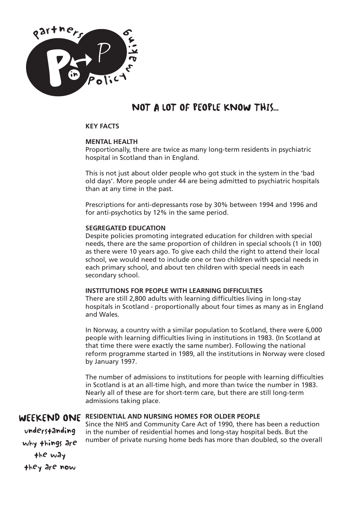

# NOT A LOT OF PEOPLE KNOW THIS...

### **KEY FACTS**

### **MENTAL HEALTH**

Proportionally, there are twice as many long-term residents in psychiatric hospital in Scotland than in England.

This is not just about older people who got stuck in the system in the 'bad old days'. More people under 44 are being admitted to psychiatric hospitals than at any time in the past.

Prescriptions for anti-depressants rose by 30% between 1994 and 1996 and for anti-psychotics by 12% in the same period.

### **SEGREGATED EDUCATION**

Despite policies promoting integrated education for children with special needs, there are the same proportion of children in special schools (1 in 100) as there were 10 years ago. To give each child the right to attend their local school, we would need to include one or two children with special needs in each primary school, and about ten children with special needs in each secondary school.

#### **INSTITUTIONS FOR PEOPLE WITH LEARNING DIFFICULTIES**

There are still 2,800 adults with learning difficulties living in long-stay hospitals in Scotland - proportionally about four times as many as in England and Wales.

In Norway, a country with a similar population to Scotland, there were 6,000 people with learning difficulties living in institutions in 1983. (In Scotland at that time there were exactly the same number). Following the national reform programme started in 1989, all the institutions in Norway were closed by January 1997.

The number of admissions to institutions for people with learning difficulties in Scotland is at an all-time high, and more than twice the number in 1983. Nearly all of these are for short-term care, but there are still long-term admissions taking place.

# WEEKEND ONE **RESIDENTIAL AND NURSING HOMES FOR OLDER PEOPLE**

understanding why things are the way they are now

Since the NHS and Community Care Act of 1990, there has been a reduction in the number of residential homes and long-stay hospital beds. But the number of private nursing home beds has more than doubled, so the overall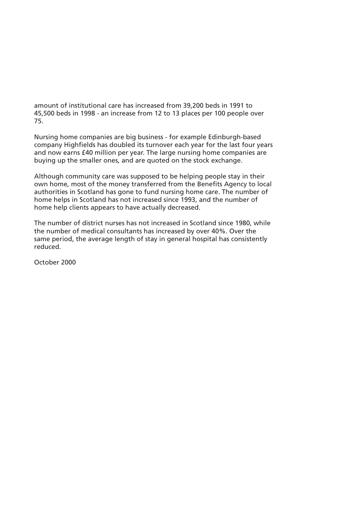amount of institutional care has increased from 39,200 beds in 1991 to 45,500 beds in 1998 - an increase from 12 to 13 places per 100 people over 75.

Nursing home companies are big business - for example Edinburgh-based company Highfields has doubled its turnover each year for the last four years and now earns £40 million per year. The large nursing home companies are buying up the smaller ones, and are quoted on the stock exchange.

Although community care was supposed to be helping people stay in their own home, most of the money transferred from the Benefits Agency to local authorities in Scotland has gone to fund nursing home care. The number of home helps in Scotland has not increased since 1993, and the number of home help clients appears to have actually decreased.

The number of district nurses has not increased in Scotland since 1980, while the number of medical consultants has increased by over 40%. Over the same period, the average length of stay in general hospital has consistently reduced.

October 2000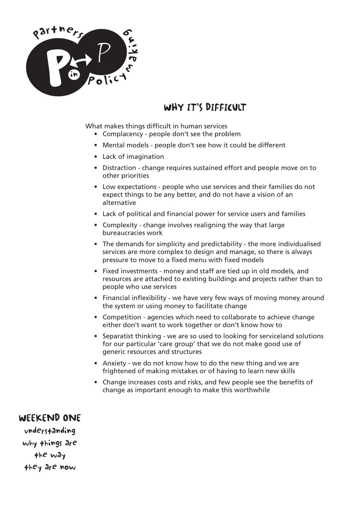

# WHY IT'S DIFFICULT

What makes things difficult in human services

- Complacency people don't see the problem
- Mental models people don't see how it could be different
- Lack of imagination
- Distraction change requires sustained effort and people move on to other priorities
- Low expectations people who use services and their families do not expect things to be any better, and do not have a vision of an alternative
- Lack of political and financial power for service users and families
- Complexity change involves realigning the way that large bureaucracies work
- The demands for simplicity and predictability the more individualised services are more complex to design and manage, so there is always pressure to move to a fixed menu with fixed models
- Fixed investments money and staff are tied up in old models, and resources are attached to existing buildings and projects rather than to people who use services
- Financial inflexibility we have very few ways of moving money around the system or using money to facilitate change
- Competition agencies which need to collaborate to achieve change either don't want to work together or don't know how to
- Separatist thinking we are so used to looking for serviceland solutions for our particular 'care group' that we do not make good use of generic resources and structures
- Anxiety we do not know how to do the new thing and we are frightened of making mistakes or of having to learn new skills
- Change increases costs and risks, and few people see the benefits of change as important enough to make this worthwhile

# WEEKEND ONE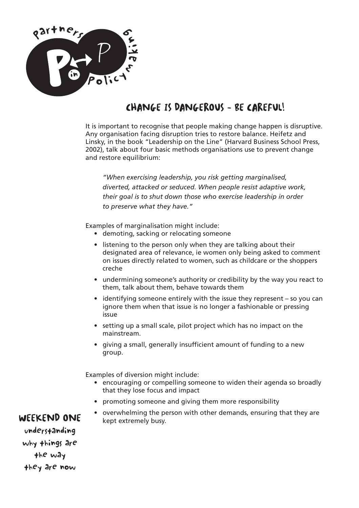

# CHANGE IS DANGEROUS - BE CAREFUL!

It is important to recognise that people making change happen is disruptive. Any organisation facing disruption tries to restore balance. Heifetz and Linsky, in the book "Leadership on the Line" (Harvard Business School Press, 2002), talk about four basic methods organisations use to prevent change and restore equilibrium:

*"When exercising leadership, you risk getting marginalised, diverted, attacked or seduced. When people resist adaptive work, their goal is to shut down those who exercise leadership in order to preserve what they have."*

Examples of marginalisation might include:

- demoting, sacking or relocating someone
- listening to the person only when they are talking about their designated area of relevance, ie women only being asked to comment on issues directly related to women, such as childcare or the shoppers creche
- undermining someone's authority or credibility by the way you react to them, talk about them, behave towards them
- identifying someone entirely with the issue they represent so you can ignore them when that issue is no longer a fashionable or pressing issue
- setting up a small scale, pilot project which has no impact on the mainstream.
- giving a small, generally insufficient amount of funding to a new group.

Examples of diversion might include:

- encouraging or compelling someone to widen their agenda so broadly that they lose focus and impact
- promoting someone and giving them more responsibility
- overwhelming the person with other demands, ensuring that they are kept extremely busy.

# WEEKEND ONE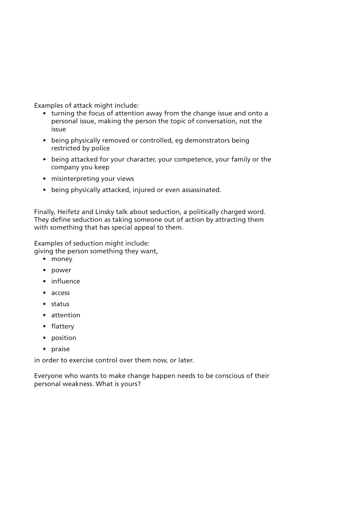Examples of attack might include:

- turning the focus of attention away from the change issue and onto a personal issue, making the person the topic of conversation, not the issue
- being physically removed or controlled, eg demonstrators being restricted by police
- being attacked for your character, your competence, your family or the company you keep
- misinterpreting your views
- being physically attacked, injured or even assassinated.

Finally, Heifetz and Linsky talk about seduction, a politically charged word. They define seduction as taking someone out of action by attracting them with something that has special appeal to them.

Examples of seduction might include:

giving the person something they want,

- money
- power
- influence
- access
- status
- attention
- flattery
- position
- praise

in order to exercise control over them now, or later.

Everyone who wants to make change happen needs to be conscious of their personal weakness. What is yours?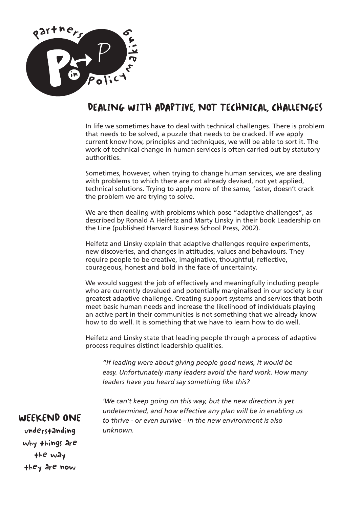

# DEALING WITH ADAPTIVE, NOT TECHNICAL, CHALLENGES

In life we sometimes have to deal with technical challenges. There is problem that needs to be solved, a puzzle that needs to be cracked. If we apply current know how, principles and techniques, we will be able to sort it. The work of technical change in human services is often carried out by statutory authorities.

Sometimes, however, when trying to change human services, we are dealing with problems to which there are not already devised, not yet applied, technical solutions. Trying to apply more of the same, faster, doesn't crack the problem we are trying to solve.

We are then dealing with problems which pose "adaptive challenges", as described by Ronald A Heifetz and Marty Linsky in their book Leadership on the Line (published Harvard Business School Press, 2002).

Heifetz and Linsky explain that adaptive challenges require experiments, new discoveries, and changes in attitudes, values and behaviours. They require people to be creative, imaginative, thoughtful, reflective, courageous, honest and bold in the face of uncertainty.

We would suggest the job of effectively and meaningfully including people who are currently devalued and potentially marginalised in our society is our greatest adaptive challenge. Creating support systems and services that both meet basic human needs and increase the likelihood of individuals playing an active part in their communities is not something that we already know how to do well. It is something that we have to learn how to do well.

Heifetz and Linsky state that leading people through a process of adaptive process requires distinct leadership qualities.

*"If leading were about giving people good news, it would be easy. Unfortunately many leaders avoid the hard work. How many leaders have you heard say something like this?*

*'We can't keep going on this way, but the new direction is yet undetermined, and how effective any plan will be in enabling us to thrive - or even survive - in the new environment is also unknown.*

# WEEKEND ONE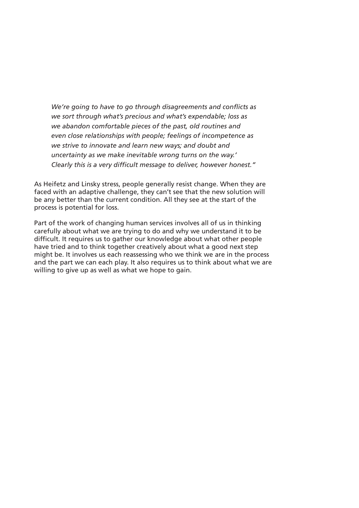*We're going to have to go through disagreements and conflicts as we sort through what's precious and what's expendable; loss as we abandon comfortable pieces of the past, old routines and even close relationships with people; feelings of incompetence as we strive to innovate and learn new ways; and doubt and uncertainty as we make inevitable wrong turns on the way.' Clearly this is a very difficult message to deliver, however honest."*

As Heifetz and Linsky stress, people generally resist change. When they are faced with an adaptive challenge, they can't see that the new solution will be any better than the current condition. All they see at the start of the process is potential for loss.

Part of the work of changing human services involves all of us in thinking carefully about what we are trying to do and why we understand it to be difficult. It requires us to gather our knowledge about what other people have tried and to think together creatively about what a good next step might be. It involves us each reassessing who we think we are in the process and the part we can each play. It also requires us to think about what we are willing to give up as well as what we hope to gain.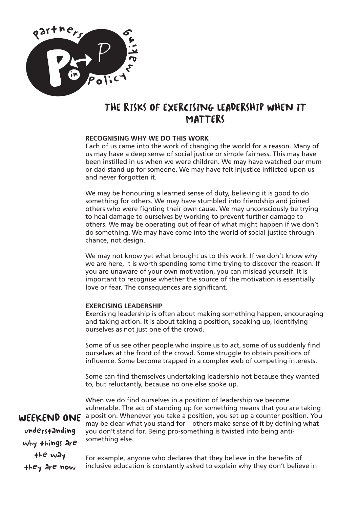

# THE RISKS OF EXERCISING LEADERSHIP WHEN IT **MATTERS**

## **RECOGNISING WHY WE DO THIS WORK**

Each of us came into the work of changing the world for a reason. Many of us may have a deep sense of social justice or simple fairness. This may have been instilled in us when we were children. We may have watched our mum or dad stand up for someone. We may have felt injustice inflicted upon us and never forgotten it.

We may be honouring a learned sense of duty, believing it is good to do something for others. We may have stumbled into friendship and joined others who were fighting their own cause. We may unconsciously be trying to heal damage to ourselves by working to prevent further damage to others. We may be operating out of fear of what might happen if we don't do something. We may have come into the world of social justice through chance, not design.

We may not know yet what brought us to this work. If we don't know why we are here, it is worth spending some time trying to discover the reason. If you are unaware of your own motivation, you can mislead yourself. It is important to recognise whether the source of the motivation is essentially love or fear. The consequences are significant.

## **EXERCISING LEADERSHIP**

Exercising leadership is often about making something happen, encouraging and taking action. It is about taking a position, speaking up, identifying ourselves as not just one of the crowd.

Some of us see other people who inspire us to act, some of us suddenly find ourselves at the front of the crowd. Some struggle to obtain positions of influence. Some become trapped in a complex web of competing interests.

Some can find themselves undertaking leadership not because they wanted to, but reluctantly, because no one else spoke up.

When we do find ourselves in a position of leadership we become vulnerable. The act of standing up for something means that you are taking a position. Whenever you take a position, you set up a counter position. You may be clear what you stand for – others make sense of it by defining what you don't stand for. Being pro-something is twisted into being antisomething else.

understanding why things are the way

they are now

WEEKEND ONE

For example, anyone who declares that they believe in the benefits of inclusive education is constantly asked to explain why they don't believe in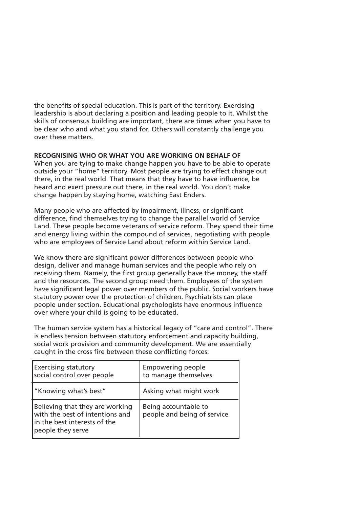the benefits of special education. This is part of the territory. Exercising leadership is about declaring a position and leading people to it. Whilst the skills of consensus building are important, there are times when you have to be clear who and what you stand for. Others will constantly challenge you over these matters.

## **RECOGNISING WHO OR WHAT YOU ARE WORKING ON BEHALF OF**

When you are tying to make change happen you have to be able to operate outside your "home" territory. Most people are trying to effect change out there, in the real world. That means that they have to have influence, be heard and exert pressure out there, in the real world. You don't make change happen by staying home, watching East Enders.

Many people who are affected by impairment, illness, or significant difference, find themselves trying to change the parallel world of Service Land. These people become veterans of service reform. They spend their time and energy living within the compound of services, negotiating with people who are employees of Service Land about reform within Service Land.

We know there are significant power differences between people who design, deliver and manage human services and the people who rely on receiving them. Namely, the first group generally have the money, the staff and the resources. The second group need them. Employees of the system have significant legal power over members of the public. Social workers have statutory power over the protection of children. Psychiatrists can place people under section. Educational psychologists have enormous influence over where your child is going to be educated.

The human service system has a historical legacy of "care and control". There is endless tension between statutory enforcement and capacity building, social work provision and community development. We are essentially caught in the cross fire between these conflicting forces:

| <b>Exercising statutory</b><br>social control over people                                                               | <b>Empowering people</b><br>to manage themselves    |
|-------------------------------------------------------------------------------------------------------------------------|-----------------------------------------------------|
| "Knowing what's best"                                                                                                   | Asking what might work                              |
| Believing that they are working<br>with the best of intentions and<br>in the best interests of the<br>people they serve | Being accountable to<br>people and being of service |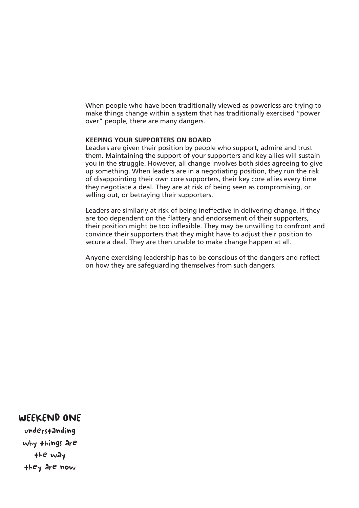When people who have been traditionally viewed as powerless are trying to make things change within a system that has traditionally exercised "power over" people, there are many dangers.

#### **KEEPING YOUR SUPPORTERS ON BOARD**

Leaders are given their position by people who support, admire and trust them. Maintaining the support of your supporters and key allies will sustain you in the struggle. However, all change involves both sides agreeing to give up something. When leaders are in a negotiating position, they run the risk of disappointing their own core supporters, their key core allies every time they negotiate a deal. They are at risk of being seen as compromising, or selling out, or betraying their supporters.

Leaders are similarly at risk of being ineffective in delivering change. If they are too dependent on the flattery and endorsement of their supporters, their position might be too inflexible. They may be unwilling to confront and convince their supporters that they might have to adjust their position to secure a deal. They are then unable to make change happen at all.

Anyone exercising leadership has to be conscious of the dangers and reflect on how they are safeguarding themselves from such dangers.

## WEEKEND ONE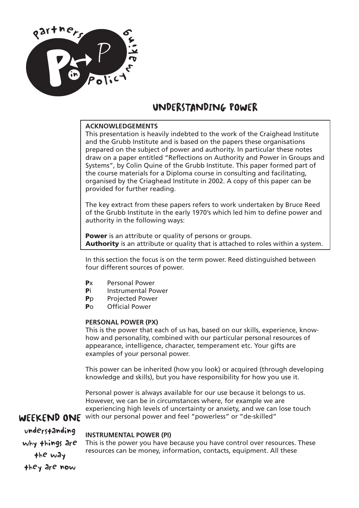

# UNDERSTANDING POWER

## **ACKNOWLEDGEMENTS**

This presentation is heavily indebted to the work of the Craighead Institute and the Grubb Institute and is based on the papers these organisations prepared on the subject of power and authority. In particular these notes draw on a paper entitled "Reflections on Authority and Power in Groups and Systems", by Colin Quine of the Grubb Institute. This paper formed part of the course materials for a Diploma course in consulting and facilitating, organised by the Criaghead Institute in 2002. A copy of this paper can be provided for further reading.

The key extract from these papers refers to work undertaken by Bruce Reed of the Grubb Institute in the early 1970's which led him to define power and authority in the following ways:

**Power** is an attribute or quality of persons or groups. **Authority** is an attribute or quality that is attached to roles within a system.

In this section the focus is on the term power. Reed distinguished between four different sources of power.

- **P**x Personal Power
- **Pi** Instrumental Power
- **P**p Projected Power
- **P**o Official Power

#### **PERSONAL POWER (PX)**

This is the power that each of us has, based on our skills, experience, knowhow and personality, combined with our particular personal resources of appearance, intelligence, character, temperament etc. Your gifts are examples of your personal power.

This power can be inherited (how you look) or acquired (through developing knowledge and skills), but you have responsibility for how you use it.

WEEKEND ONE with our personal power and feel "powerless" or "de-skilled" Personal power is always available for our use because it belongs to us. However, we can be in circumstances where, for example we are experiencing high levels of uncertainty or anxiety, and we can lose touch

understanding why things are the way they are now

#### **INSTRUMENTAL POWER (PI)**

This is the power you have because you have control over resources. These resources can be money, information, contacts, equipment. All these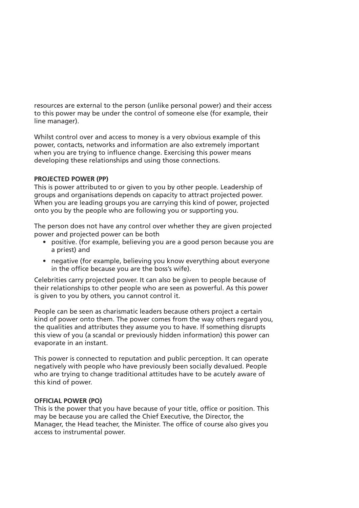resources are external to the person (unlike personal power) and their access to this power may be under the control of someone else (for example, their line manager).

Whilst control over and access to money is a very obvious example of this power, contacts, networks and information are also extremely important when you are trying to influence change. Exercising this power means developing these relationships and using those connections.

## **PROJECTED POWER (PP)**

This is power attributed to or given to you by other people. Leadership of groups and organisations depends on capacity to attract projected power. When you are leading groups you are carrying this kind of power, projected onto you by the people who are following you or supporting you.

The person does not have any control over whether they are given projected power and projected power can be both

- positive. (for example, believing you are a good person because you are a priest) and
- negative (for example, believing you know everything about everyone in the office because you are the boss's wife).

Celebrities carry projected power. It can also be given to people because of their relationships to other people who are seen as powerful. As this power is given to you by others, you cannot control it.

People can be seen as charismatic leaders because others project a certain kind of power onto them. The power comes from the way others regard you, the qualities and attributes they assume you to have. If something disrupts this view of you (a scandal or previously hidden information) this power can evaporate in an instant.

This power is connected to reputation and public perception. It can operate negatively with people who have previously been socially devalued. People who are trying to change traditional attitudes have to be acutely aware of this kind of power.

## **OFFICIAL POWER (PO)**

This is the power that you have because of your title, office or position. This may be because you are called the Chief Executive, the Director, the Manager, the Head teacher, the Minister. The office of course also gives you access to instrumental power.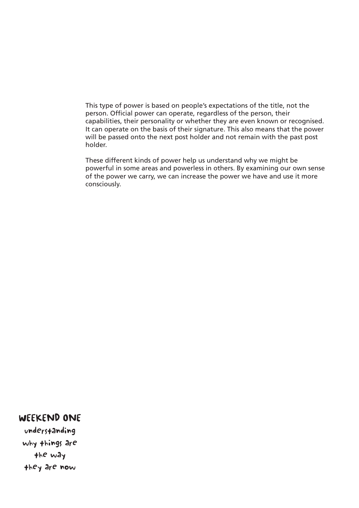This type of power is based on people's expectations of the title, not the person. Official power can operate, regardless of the person, their capabilities, their personality or whether they are even known or recognised. It can operate on the basis of their signature. This also means that the power will be passed onto the next post holder and not remain with the past post holder.

These different kinds of power help us understand why we might be powerful in some areas and powerless in others. By examining our own sense of the power we carry, we can increase the power we have and use it more consciously.

## WEEKEND ONE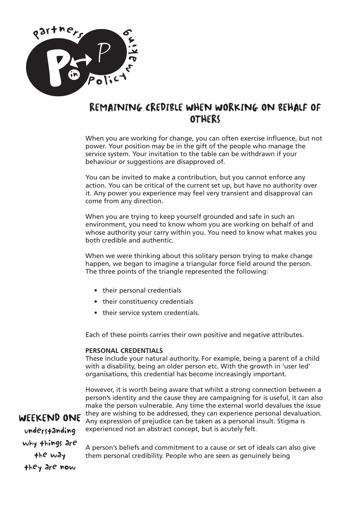

# REMAINING CREDIBLE WHEN WORKING ON BEHALF OF **OTHERS**

When you are working for change, you can often exercise influence, but not power. Your position may be in the gift of the people who manage the service system. Your invitation to the table can be withdrawn if your behaviour or suggestions are disapproved of.

You can be invited to make a contribution, but you cannot enforce any action. You can be critical of the current set up, but have no authority over it. Any power you experience may feel very transient and disapproval can come from any direction.

When you are trying to keep yourself grounded and safe in such an environment, you need to know whom you are working on behalf of and whose authority your carry within you. You need to know what makes you both credible and authentic.

When we were thinking about this solitary person trying to make change happen, we began to imagine a triangular force field around the person. The three points of the triangle represented the following:

- their personal credentials
- their constituency credentials
- their service system credentials.

Each of these points carries their own positive and negative attributes.

#### **PERSONAL CREDENTIALS**

These include your natural authority. For example, being a parent of a child with a disability, being an older person etc. With the growth in 'user led' organisations, this credential has become increasingly important.

However, it is worth being aware that whilst a strong connection between a person's identity and the cause they are campaigning for is useful, it can also make the person vulnerable. Any time the external world devalues the issue they are wishing to be addressed, they can experience personal devaluation. Any expression of prejudice can be taken as a personal insult. Stigma is experienced not an abstract concept, but is acutely felt.

WEEKEND ONE understanding why things are the way they are now

A person's beliefs and commitment to a cause or set of ideals can also give them personal credibility. People who are seen as genuinely being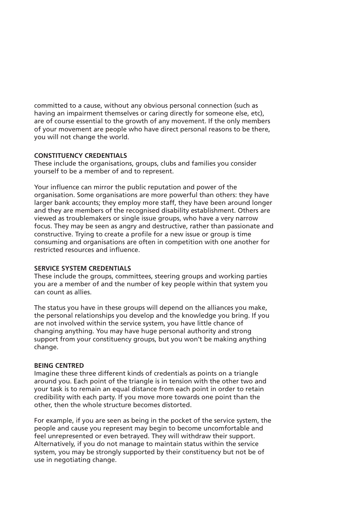committed to a cause, without any obvious personal connection (such as having an impairment themselves or caring directly for someone else, etc), are of course essential to the growth of any movement. If the only members of your movement are people who have direct personal reasons to be there, you will not change the world.

## **CONSTITUENCY CREDENTIALS**

These include the organisations, groups, clubs and families you consider yourself to be a member of and to represent.

Your influence can mirror the public reputation and power of the organisation. Some organisations are more powerful than others: they have larger bank accounts; they employ more staff, they have been around longer and they are members of the recognised disability establishment. Others are viewed as troublemakers or single issue groups, who have a very narrow focus. They may be seen as angry and destructive, rather than passionate and constructive. Trying to create a profile for a new issue or group is time consuming and organisations are often in competition with one another for restricted resources and influence.

### **SERVICE SYSTEM CREDENTIALS**

These include the groups, committees, steering groups and working parties you are a member of and the number of key people within that system you can count as allies.

The status you have in these groups will depend on the alliances you make, the personal relationships you develop and the knowledge you bring. If you are not involved within the service system, you have little chance of changing anything. You may have huge personal authority and strong support from your constituency groups, but you won't be making anything change.

#### **BEING CENTRED**

Imagine these three different kinds of credentials as points on a triangle around you. Each point of the triangle is in tension with the other two and your task is to remain an equal distance from each point in order to retain credibility with each party. If you move more towards one point than the other, then the whole structure becomes distorted.

For example, if you are seen as being in the pocket of the service system, the people and cause you represent may begin to become uncomfortable and feel unrepresented or even betrayed. They will withdraw their support. Alternatively, if you do not manage to maintain status within the service system, you may be strongly supported by their constituency but not be of use in negotiating change.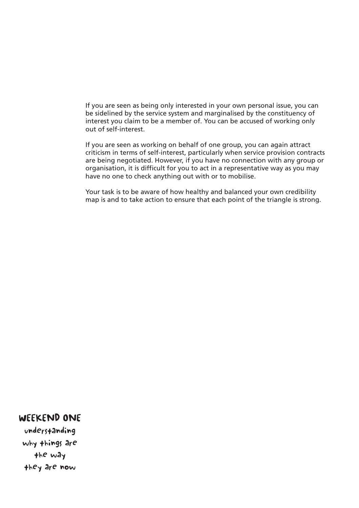If you are seen as being only interested in your own personal issue, you can be sidelined by the service system and marginalised by the constituency of interest you claim to be a member of. You can be accused of working only out of self-interest.

If you are seen as working on behalf of one group, you can again attract criticism in terms of self-interest, particularly when service provision contracts are being negotiated. However, if you have no connection with any group or organisation, it is difficult for you to act in a representative way as you may have no one to check anything out with or to mobilise.

Your task is to be aware of how healthy and balanced your own credibility map is and to take action to ensure that each point of the triangle is strong.

## WEEKEND ONE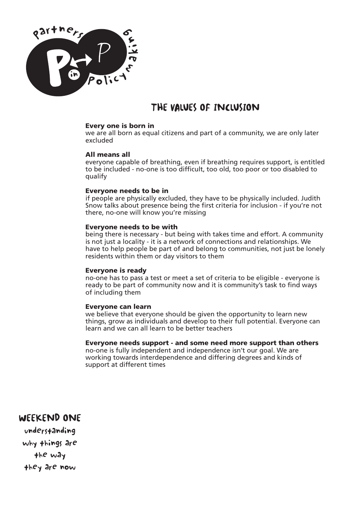

# THE VALUES OF INCLUSION

#### **Every one is born in**

we are all born as equal citizens and part of a community, we are only later excluded

#### **All means all**

everyone capable of breathing, even if breathing requires support, is entitled to be included - no-one is too difficult, too old, too poor or too disabled to qualify

#### **Everyone needs to be in**

if people are physically excluded, they have to be physically included. Judith Snow talks about presence being the first criteria for inclusion - if you're not there, no-one will know you're missing

#### **Everyone needs to be with**

being there is necessary - but being with takes time and effort. A community is not just a locality - it is a network of connections and relationships. We have to help people be part of and belong to communities, not just be lonely residents within them or day visitors to them

#### **Everyone is ready**

no-one has to pass a test or meet a set of criteria to be eligible - everyone is ready to be part of community now and it is community's task to find ways of including them

#### **Everyone can learn**

we believe that everyone should be given the opportunity to learn new things, grow as individuals and develop to their full potential. Everyone can learn and we can all learn to be better teachers

## **Everyone needs support - and some need more support than others**

no-one is fully independent and independence isn't our goal. We are working towards interdependence and differing degrees and kinds of support at different times

# WEEKEND ONE

understanding why things are the way they are now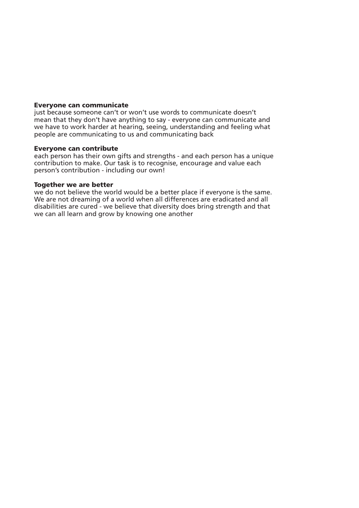#### **Everyone can communicate**

just because someone can't or won't use words to communicate doesn't mean that they don't have anything to say - everyone can communicate and we have to work harder at hearing, seeing, understanding and feeling what people are communicating to us and communicating back

#### **Everyone can contribute**

each person has their own gifts and strengths - and each person has a unique contribution to make. Our task is to recognise, encourage and value each person's contribution - including our own!

#### **Together we are better**

we do not believe the world would be a better place if everyone is the same. We are not dreaming of a world when all differences are eradicated and all disabilities are cured - we believe that diversity does bring strength and that we can all learn and grow by knowing one another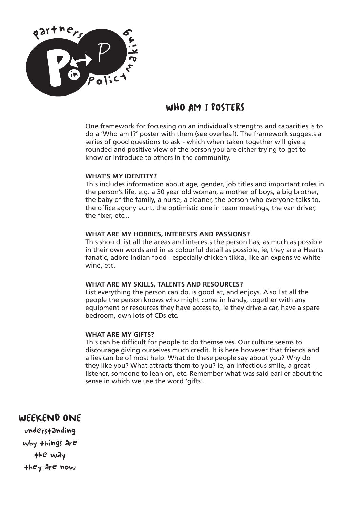

# WHO AM I POSTERS

One framework for focussing on an individual's strengths and capacities is to do a 'Who am I?' poster with them (see overleaf). The framework suggests a series of good questions to ask - which when taken together will give a rounded and positive view of the person you are either trying to get to know or introduce to others in the community.

## **WHAT'S MY IDENTITY?**

This includes information about age, gender, job titles and important roles in the person's life, e.g. a 30 year old woman, a mother of boys, a big brother, the baby of the family, a nurse, a cleaner, the person who everyone talks to, the office agony aunt, the optimistic one in team meetings, the van driver, the fixer, etc...

## **WHAT ARE MY HOBBIES, INTERESTS AND PASSIONS?**

This should list all the areas and interests the person has, as much as possible in their own words and in as colourful detail as possible, ie, they are a Hearts fanatic, adore Indian food - especially chicken tikka, like an expensive white wine, etc.

#### **WHAT ARE MY SKILLS, TALENTS AND RESOURCES?**

List everything the person can do, is good at, and enjoys. Also list all the people the person knows who might come in handy, together with any equipment or resources they have access to, ie they drive a car, have a spare bedroom, own lots of CDs etc.

## **WHAT ARE MY GIFTS?**

This can be difficult for people to do themselves. Our culture seems to discourage giving ourselves much credit. It is here however that friends and allies can be of most help. What do these people say about you? Why do they like you? What attracts them to you? ie, an infectious smile, a great listener, someone to lean on, etc. Remember what was said earlier about the sense in which we use the word 'gifts'.

# WEEKEND ONE

understanding why things are the way they are now